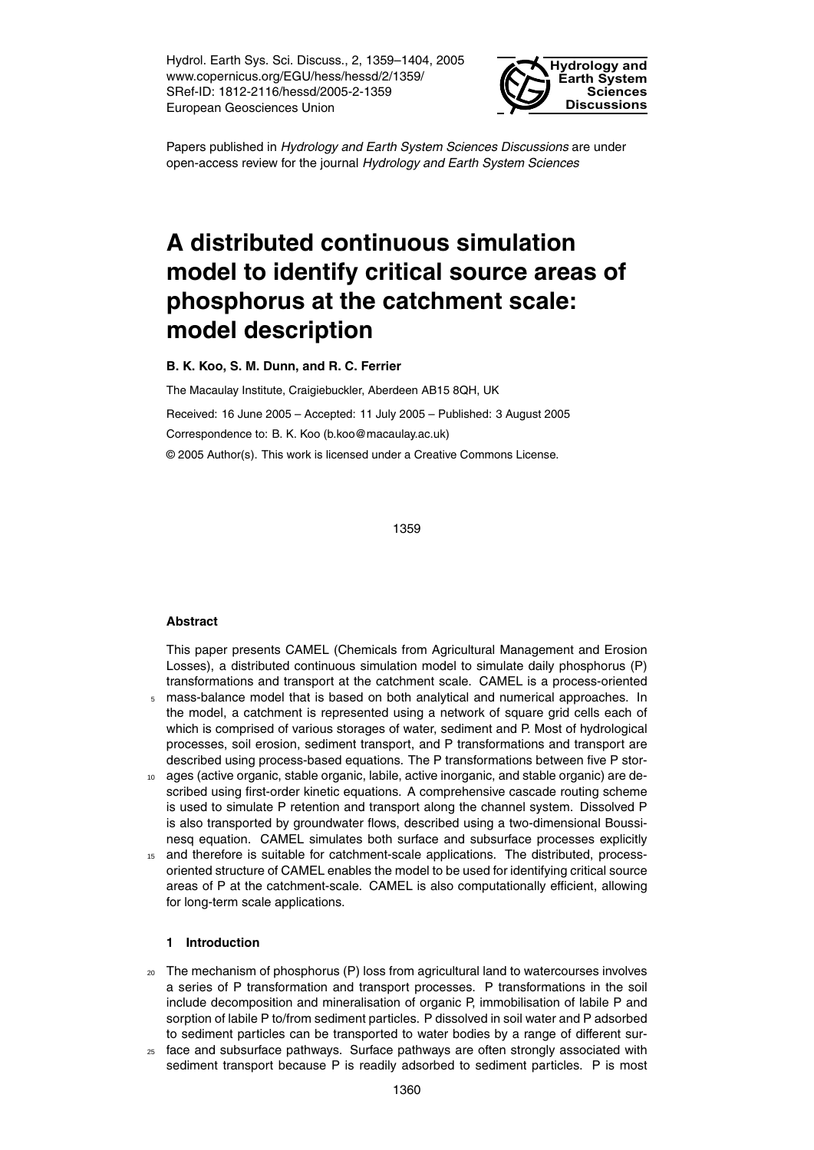Hydrol. Earth Sys. Sci. Discuss., 2, 1359–1404, 2005 www.copernicus.org/EGU/hess/hessd/2/1359/ SRef-ID: 1812-2116/hessd/2005-2-1359 European Geosciences Union



Papers published in *Hydrology and Earth System Sciences Discussions* are under open-access review for the journal *Hydrology and Earth System Sciences*

# **A distributed continuous simulation model to identify critical source areas of phosphorus at the catchment scale: model description**

**B. K. Koo, S. M. Dunn, and R. C. Ferrier**

The Macaulay Institute, Craigiebuckler, Aberdeen AB15 8QH, UK Received: 16 June 2005 – Accepted: 11 July 2005 – Published: 3 August 2005 Correspondence to: B. K. Koo (b.koo@macaulay.ac.uk) © 2005 Author(s). This work is licensed under a Creative Commons License.

1359

## **Abstract**

This paper presents CAMEL (Chemicals from Agricultural Management and Erosion Losses), a distributed continuous simulation model to simulate daily phosphorus (P) transformations and transport at the catchment scale. CAMEL is a process-oriented

- <sup>5</sup> mass-balance model that is based on both analytical and numerical approaches. In the model, a catchment is represented using a network of square grid cells each of which is comprised of various storages of water, sediment and P. Most of hydrological processes, soil erosion, sediment transport, and P transformations and transport are described using process-based equations. The P transformations between five P stor-
- <sup>10</sup> ages (active organic, stable organic, labile, active inorganic, and stable organic) are described using first-order kinetic equations. A comprehensive cascade routing scheme is used to simulate P retention and transport along the channel system. Dissolved P is also transported by groundwater flows, described using a two-dimensional Boussinesq equation. CAMEL simulates both surface and subsurface processes explicitly
- <sup>15</sup> and therefore is suitable for catchment-scale applications. The distributed, processoriented structure of CAMEL enables the model to be used for identifying critical source areas of P at the catchment-scale. CAMEL is also computationally efficient, allowing for long-term scale applications.

# **1 Introduction**

- $20$  The mechanism of phosphorus (P) loss from agricultural land to watercourses involves a series of P transformation and transport processes. P transformations in the soil include decomposition and mineralisation of organic P, immobilisation of labile P and sorption of labile P to/from sediment particles. P dissolved in soil water and P adsorbed to sediment particles can be transported to water bodies by a range of different sur-
- <sup>25</sup> face and subsurface pathways. Surface pathways are often strongly associated with sediment transport because P is readily adsorbed to sediment particles. P is most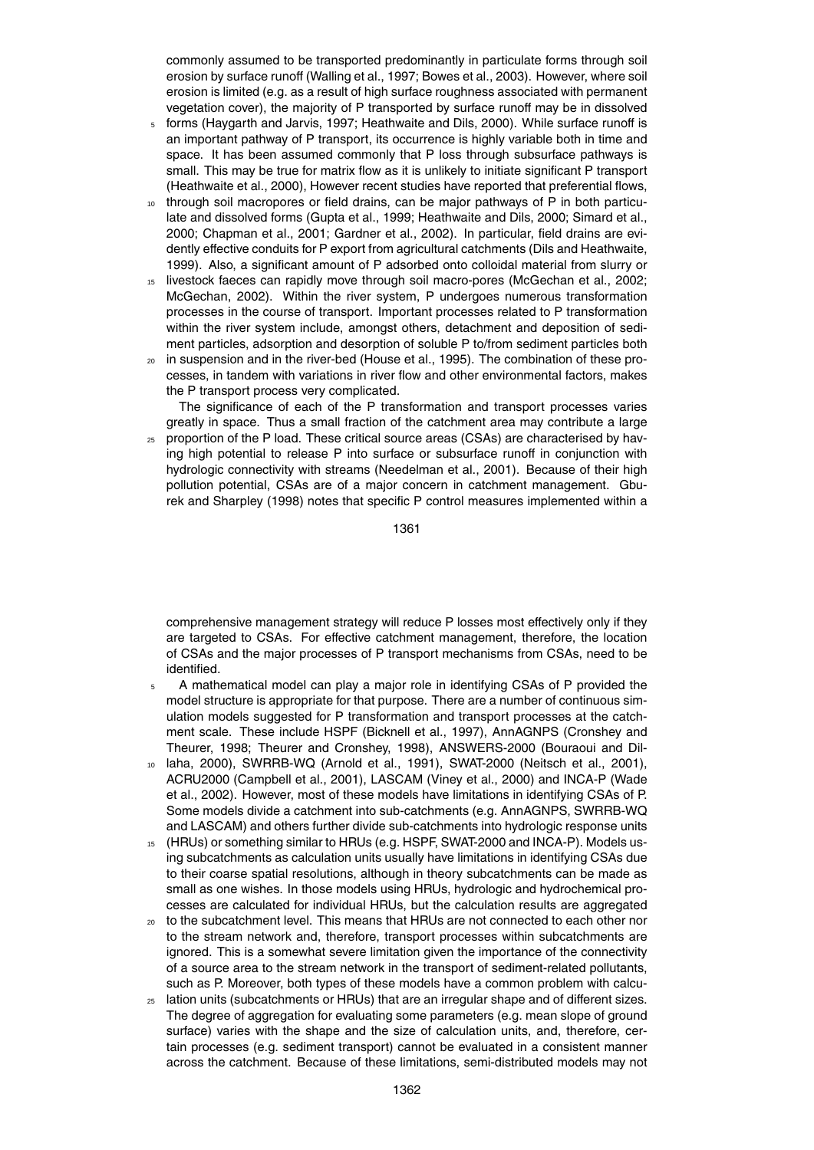commonly assumed to be transported predominantly in particulate forms through soil erosion by surface runoff (Walling et al., 1997; Bowes et al., 2003). However, where soil erosion is limited (e.g. as a result of high surface roughness associated with permanent vegetation cover), the majority of P transported by surface runoff may be in dissolved

- <sup>5</sup> forms (Haygarth and Jarvis, 1997; Heathwaite and Dils, 2000). While surface runoff is an important pathway of P transport, its occurrence is highly variable both in time and space. It has been assumed commonly that P loss through subsurface pathways is small. This may be true for matrix flow as it is unlikely to initiate significant P transport (Heathwaite et al., 2000), However recent studies have reported that preferential flows,
- through soil macropores or field drains, can be major pathways of P in both particulate and dissolved forms (Gupta et al., 1999; Heathwaite and Dils, 2000; Simard et al., 2000; Chapman et al., 2001; Gardner et al., 2002). In particular, field drains are evidently effective conduits for P export from agricultural catchments (Dils and Heathwaite, 1999). Also, a significant amount of P adsorbed onto colloidal material from slurry or
- <sup>15</sup> livestock faeces can rapidly move through soil macro-pores (McGechan et al., 2002; McGechan, 2002). Within the river system, P undergoes numerous transformation processes in the course of transport. Important processes related to P transformation within the river system include, amongst others, detachment and deposition of sediment particles, adsorption and desorption of soluble P to/from sediment particles both
- <sup>20</sup> in suspension and in the river-bed (House et al., 1995). The combination of these processes, in tandem with variations in river flow and other environmental factors, makes the P transport process very complicated.

The significance of each of the P transformation and transport processes varies greatly in space. Thus a small fraction of the catchment area may contribute a large

<sup>25</sup> proportion of the P load. These critical source areas (CSAs) are characterised by having high potential to release P into surface or subsurface runoff in conjunction with hydrologic connectivity with streams (Needelman et al., 2001). Because of their high pollution potential, CSAs are of a major concern in catchment management. Gburek and Sharpley (1998) notes that specific P control measures implemented within a

1361

comprehensive management strategy will reduce P losses most effectively only if they are targeted to CSAs. For effective catchment management, therefore, the location of CSAs and the major processes of P transport mechanisms from CSAs, need to be identified.

- A mathematical model can play a major role in identifying CSAs of P provided the model structure is appropriate for that purpose. There are a number of continuous simulation models suggested for P transformation and transport processes at the catchment scale. These include HSPF (Bicknell et al., 1997), AnnAGNPS (Cronshey and Theurer, 1998; Theurer and Cronshey, 1998), ANSWERS-2000 (Bouraoui and Dil-
- <sup>10</sup> laha, 2000), SWRRB-WQ (Arnold et al., 1991), SWAT-2000 (Neitsch et al., 2001), ACRU2000 (Campbell et al., 2001), LASCAM (Viney et al., 2000) and INCA-P (Wade et al., 2002). However, most of these models have limitations in identifying CSAs of P. Some models divide a catchment into sub-catchments (e.g. AnnAGNPS, SWRRB-WQ and LASCAM) and others further divide sub-catchments into hydrologic response units
- <sup>15</sup> (HRUs) or something similar to HRUs (e.g. HSPF, SWAT-2000 and INCA-P). Models using subcatchments as calculation units usually have limitations in identifying CSAs due to their coarse spatial resolutions, although in theory subcatchments can be made as small as one wishes. In those models using HRUs, hydrologic and hydrochemical processes are calculated for individual HRUs, but the calculation results are aggregated
- <sub>20</sub> to the subcatchment level. This means that HRUs are not connected to each other nor to the stream network and, therefore, transport processes within subcatchments are ignored. This is a somewhat severe limitation given the importance of the connectivity of a source area to the stream network in the transport of sediment-related pollutants, such as P. Moreover, both types of these models have a common problem with calcu-
- <sup>25</sup> lation units (subcatchments or HRUs) that are an irregular shape and of different sizes. The degree of aggregation for evaluating some parameters (e.g. mean slope of ground surface) varies with the shape and the size of calculation units, and, therefore, certain processes (e.g. sediment transport) cannot be evaluated in a consistent manner across the catchment. Because of these limitations, semi-distributed models may not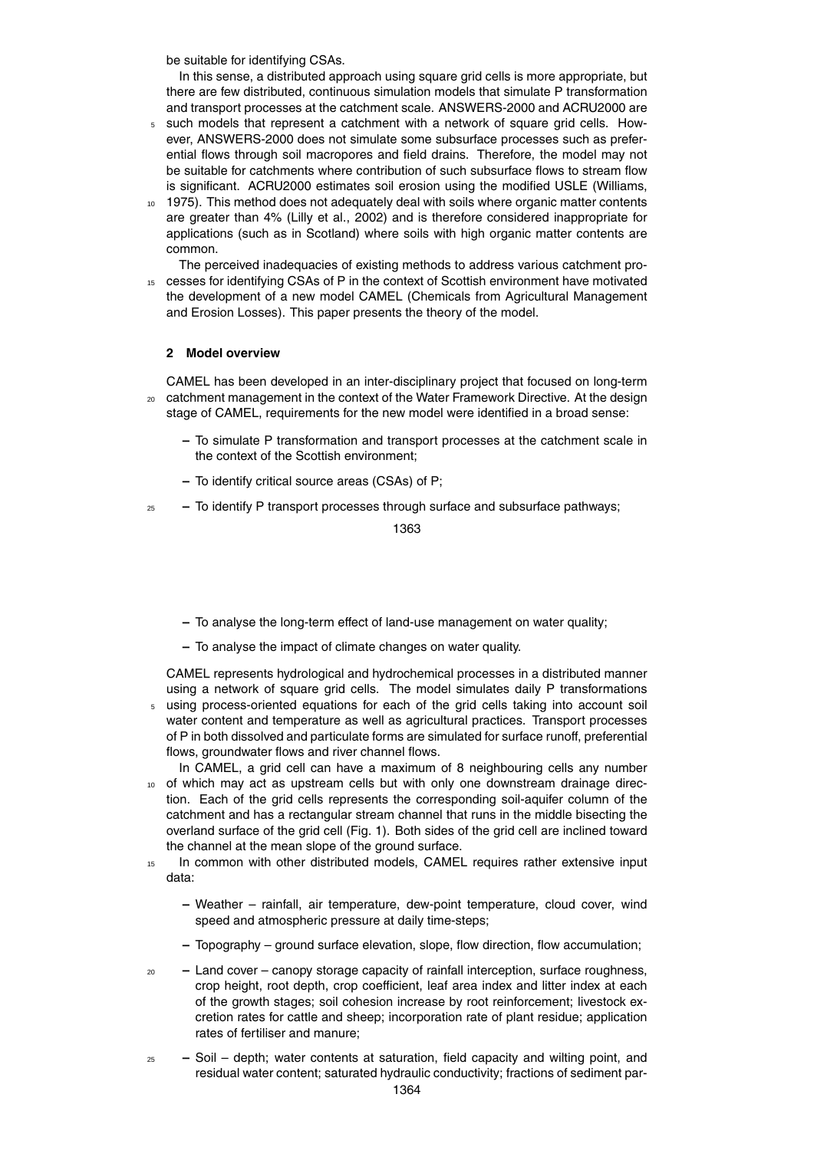be suitable for identifying CSAs.

In this sense, a distributed approach using square grid cells is more appropriate, but there are few distributed, continuous simulation models that simulate P transformation and transport processes at the catchment scale. ANSWERS-2000 and ACRU2000 are

- <sup>5</sup> such models that represent a catchment with a network of square grid cells. However, ANSWERS-2000 does not simulate some subsurface processes such as preferential flows through soil macropores and field drains. Therefore, the model may not be suitable for catchments where contribution of such subsurface flows to stream flow is significant. ACRU2000 estimates soil erosion using the modified USLE (Williams,
- 10 1975). This method does not adequately deal with soils where organic matter contents are greater than 4% (Lilly et al., 2002) and is therefore considered inappropriate for applications (such as in Scotland) where soils with high organic matter contents are common.

The perceived inadequacies of existing methods to address various catchment pro-

<sup>15</sup> cesses for identifying CSAs of P in the context of Scottish environment have motivated the development of a new model CAMEL (Chemicals from Agricultural Management and Erosion Losses). This paper presents the theory of the model.

# **2 Model overview**

CAMEL has been developed in an inter-disciplinary project that focused on long-term <sub>20</sub> catchment management in the context of the Water Framework Directive. At the design stage of CAMEL, requirements for the new model were identified in a broad sense:

- **–** To simulate P transformation and transport processes at the catchment scale in the context of the Scottish environment;
- **–** To identify critical source areas (CSAs) of P;
- <sup>25</sup> **–** To identify P transport processes through surface and subsurface pathways;

1363

- **–** To analyse the long-term effect of land-use management on water quality;
- **–** To analyse the impact of climate changes on water quality.

CAMEL represents hydrological and hydrochemical processes in a distributed manner using a network of square grid cells. The model simulates daily P transformations

- <sup>5</sup> using process-oriented equations for each of the grid cells taking into account soil water content and temperature as well as agricultural practices. Transport processes of P in both dissolved and particulate forms are simulated for surface runoff, preferential flows, groundwater flows and river channel flows.
- In CAMEL, a grid cell can have a maximum of 8 neighbouring cells any number 10 of which may act as upstream cells but with only one downstream drainage direction. Each of the grid cells represents the corresponding soil-aquifer column of the catchment and has a rectangular stream channel that runs in the middle bisecting the overland surface of the grid cell (Fig. 1). Both sides of the grid cell are inclined toward the channel at the mean slope of the ground surface.
- <sup>15</sup> In common with other distributed models, CAMEL requires rather extensive input data:
	- **–** Weather rainfall, air temperature, dew-point temperature, cloud cover, wind speed and atmospheric pressure at daily time-steps;
	- **–** Topography ground surface elevation, slope, flow direction, flow accumulation;
- <sup>20</sup> **–** Land cover canopy storage capacity of rainfall interception, surface roughness, crop height, root depth, crop coefficient, leaf area index and litter index at each of the growth stages; soil cohesion increase by root reinforcement; livestock excretion rates for cattle and sheep; incorporation rate of plant residue; application rates of fertiliser and manure;
- <sup>25</sup> **–** Soil depth; water contents at saturation, field capacity and wilting point, and residual water content; saturated hydraulic conductivity; fractions of sediment par-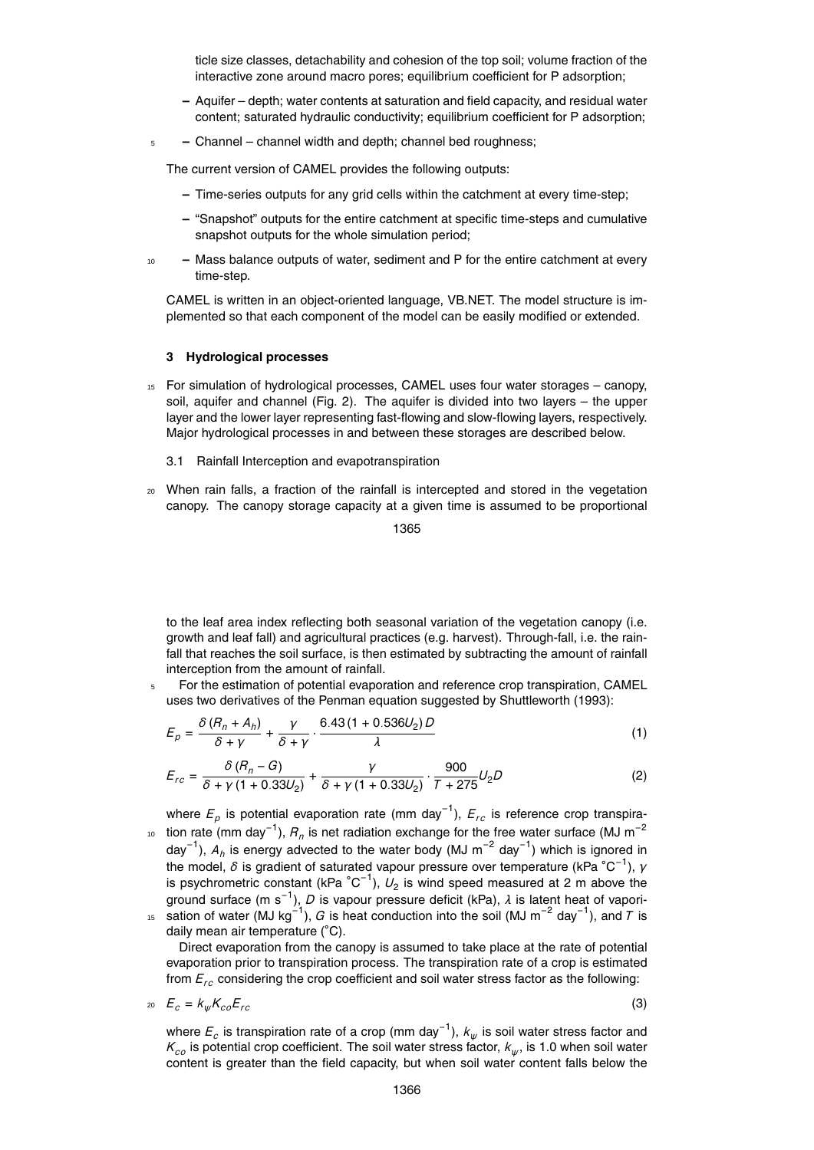ticle size classes, detachability and cohesion of the top soil; volume fraction of the interactive zone around macro pores; equilibrium coefficient for P adsorption;

- **–** Aquifer depth; water contents at saturation and field capacity, and residual water content; saturated hydraulic conductivity; equilibrium coefficient for P adsorption;
- <sup>5</sup> **–** Channel channel width and depth; channel bed roughness;

The current version of CAMEL provides the following outputs:

- **–** Time-series outputs for any grid cells within the catchment at every time-step;
- **–** "Snapshot" outputs for the entire catchment at specific time-steps and cumulative snapshot outputs for the whole simulation period;
- <sup>10</sup> **–** Mass balance outputs of water, sediment and P for the entire catchment at every time-step.

CAMEL is written in an object-oriented language, VB.NET. The model structure is implemented so that each component of the model can be easily modified or extended.

## **3 Hydrological processes**

- <sup>15</sup> For simulation of hydrological processes, CAMEL uses four water storages canopy, soil, aquifer and channel (Fig. 2). The aquifer is divided into two layers – the upper layer and the lower layer representing fast-flowing and slow-flowing layers, respectively. Major hydrological processes in and between these storages are described below.
	- 3.1 Rainfall Interception and evapotranspiration
- <sup>20</sup> When rain falls, a fraction of the rainfall is intercepted and stored in the vegetation canopy. The canopy storage capacity at a given time is assumed to be proportional

1365

to the leaf area index reflecting both seasonal variation of the vegetation canopy (i.e. growth and leaf fall) and agricultural practices (e.g. harvest). Through-fall, i.e. the rainfall that reaches the soil surface, is then estimated by subtracting the amount of rainfall interception from the amount of rainfall.

<sup>5</sup> For the estimation of potential evaporation and reference crop transpiration, CAMEL uses two derivatives of the Penman equation suggested by Shuttleworth (1993):

$$
E_p = \frac{\delta (R_n + A_h)}{\delta + \gamma} + \frac{\gamma}{\delta + \gamma} \cdot \frac{6.43 (1 + 0.536 U_2) D}{\lambda}
$$
\n(1)

$$
E_{rc} = \frac{\delta (R_n - G)}{\delta + \gamma (1 + 0.33U_2)} + \frac{\gamma}{\delta + \gamma (1 + 0.33U_2)} \cdot \frac{900}{T + 275} U_2 D \tag{2}
$$

where  $E_p$  is potential evaporation rate (mm day<sup>−1</sup>),  $E_{rc}$  is reference crop transpira-<sup>10</sup> tion rate (mm day<sup>-1</sup>),  $R_n$  is net radiation exchange for the free water surface (MJ m<sup>-2</sup> day<sup>−1</sup>), A<sub>*h*</sub> is energy advected to the water body (MJ m<sup>−2</sup> day<sup>−1</sup>) which is ignored in the model, *δ* is gradient of saturated vapour pressure over temperature (kPa °C<sup>-1</sup>), *γ* is psychrometric constant (kPa  $^{\circ}$ C<sup>-1</sup>),  $U_{2}$  is wind speed measured at 2 m above the ground surface (m s−<sup>1</sup> ), *D* is vapour pressure deficit (kPa), *λ* is latent heat of vapori-<sup>15</sup> sation of water (MJ kg<sup>-1</sup>), *G* is heat conduction into the soil (MJ m<sup>-2</sup> day<sup>-1</sup>), and *T* is daily mean air temperature (◦C).

Direct evaporation from the canopy is assumed to take place at the rate of potential evaporation prior to transpiration process. The transpiration rate of a crop is estimated from *Erc* considering the crop coefficient and soil water stress factor as the following:

$$
z_0 \t E_c = k_{\psi} K_{co} E_{rc}
$$
 (3)

where *E<sup>c</sup>* is transpiration rate of a crop (mm day−<sup>1</sup> ), *k<sup>ψ</sup>* is soil water stress factor and  $\mathcal{K}_{co}$  is potential crop coefficient. The soil water stress factor,  $\mathcal{k}_{\psi}$ , is 1.0 when soil water content is greater than the field capacity, but when soil water content falls below the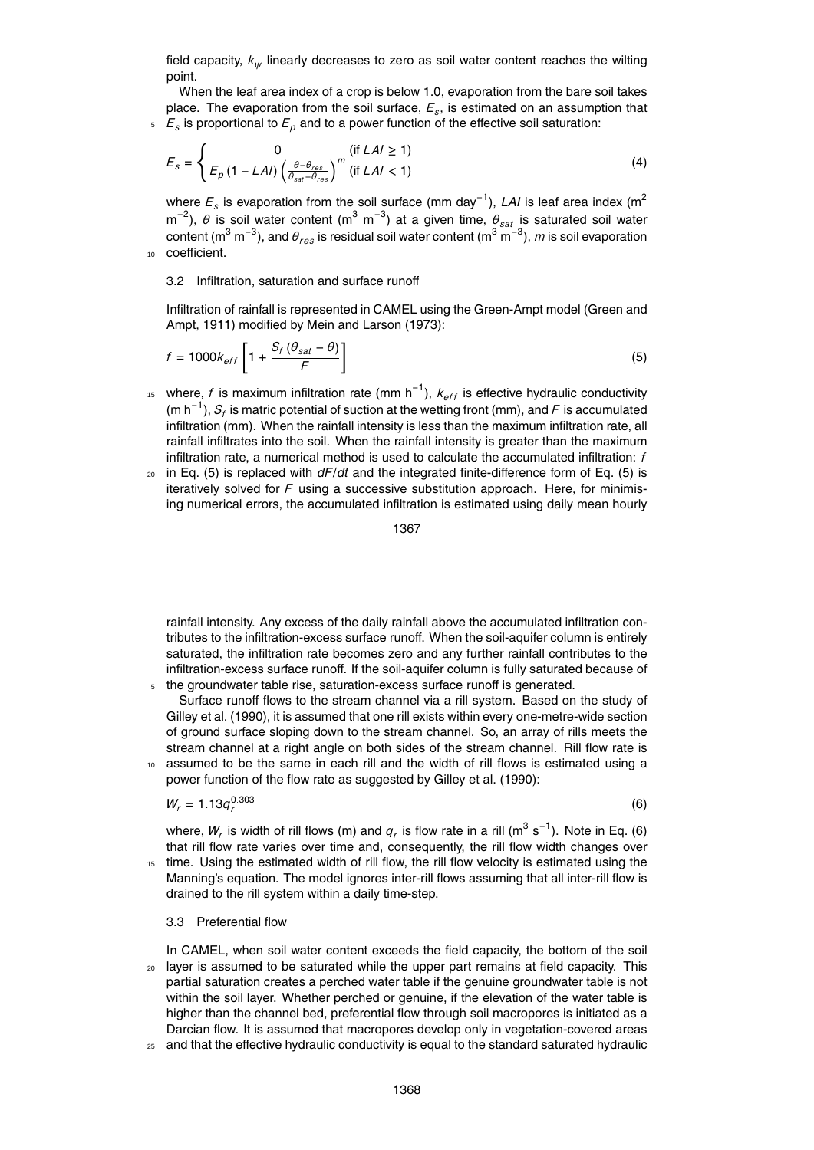field capacity, *k<sup>ψ</sup>* linearly decreases to zero as soil water content reaches the wilting point.

When the leaf area index of a crop is below 1.0, evaporation from the bare soil takes place. The evaporation from the soil surface, *E<sup>s</sup>* , is estimated on an assumption that *Es* <sup>5</sup> is proportional to *E<sup>p</sup>* and to a power function of the effective soil saturation:

$$
E_s = \begin{cases} 0 & (\text{if } LAI \ge 1) \\ E_p \left(1 - LAI\right) \left(\frac{\theta - \theta_{res}}{\theta_{sat} - \theta_{res}}\right)^m & (\text{if } LAI < 1) \end{cases} \tag{4}
$$

where  $E_s$  is evaporation from the soil surface (mm day<sup>-1</sup>), *LAI* is leaf area index (m<sup>2</sup> m<sup>-2</sup>), θ is soil water content (m<sup>3</sup> m<sup>-3</sup>) at a given time,  $\theta_{sat}$  is saturated soil water content (m $^3$  m $^{-3}$ ), and  $\theta_{res}$  is residual soil water content (m $^3$  m $^{-3}$ ),  $m$  is soil evaporation <sup>10</sup> coefficient.

## 3.2 Infiltration, saturation and surface runoff

Infiltration of rainfall is represented in CAMEL using the Green-Ampt model (Green and Ampt, 1911) modified by Mein and Larson (1973):

$$
f = 1000k_{eff} \left[ 1 + \frac{S_f \left( \theta_{sat} - \theta \right)}{F} \right]
$$
 (5)

- <sup>15</sup> where, *f* is maximum infiltration rate (mm h<sup>-1</sup>),  $k_{eff}$  is effective hydraulic conductivity (m h<sup>−1</sup>),  $S_f$  is matric potential of suction at the wetting front (mm), and *F* is accumulated infiltration (mm). When the rainfall intensity is less than the maximum infiltration rate, all rainfall infiltrates into the soil. When the rainfall intensity is greater than the maximum infiltration rate, a numerical method is used to calculate the accumulated infiltration: *f*
- <sup>20</sup> in Eq. (5) is replaced with *dF*/*dt* and the integrated finite-difference form of Eq. (5) is iteratively solved for *F* using a successive substitution approach. Here, for minimising numerical errors, the accumulated infiltration is estimated using daily mean hourly

1367

rainfall intensity. Any excess of the daily rainfall above the accumulated infiltration contributes to the infiltration-excess surface runoff. When the soil-aquifer column is entirely saturated, the infiltration rate becomes zero and any further rainfall contributes to the infiltration-excess surface runoff. If the soil-aquifer column is fully saturated because of the groundwater table rise, saturation-excess surface runoff is generated.

- Surface runoff flows to the stream channel via a rill system. Based on the study of Gilley et al. (1990), it is assumed that one rill exists within every one-metre-wide section of ground surface sloping down to the stream channel. So, an array of rills meets the stream channel at a right angle on both sides of the stream channel. Rill flow rate is <sup>10</sup> assumed to be the same in each rill and the width of rill flows is estimated using a
- power function of the flow rate as suggested by Gilley et al. (1990):

$$
W_r = 1.13 q_r^{0.303}
$$

(6)

where,  $W_r$  is width of rill flows (m) and  $q_r$  is flow rate in a rill (m<sup>3</sup> s<sup>-1</sup>). Note in Eq. (6) that rill flow rate varies over time and, consequently, the rill flow width changes over time. Using the estimated width of rill flow, the rill flow velocity is estimated using the

Manning's equation. The model ignores inter-rill flows assuming that all inter-rill flow is drained to the rill system within a daily time-step.

#### 3.3 Preferential flow

In CAMEL, when soil water content exceeds the field capacity, the bottom of the soil <sup>20</sup> layer is assumed to be saturated while the upper part remains at field capacity. This partial saturation creates a perched water table if the genuine groundwater table is not within the soil layer. Whether perched or genuine, if the elevation of the water table is higher than the channel bed, preferential flow through soil macropores is initiated as a Darcian flow. It is assumed that macropores develop only in vegetation-covered areas

and that the effective hydraulic conductivity is equal to the standard saturated hydraulic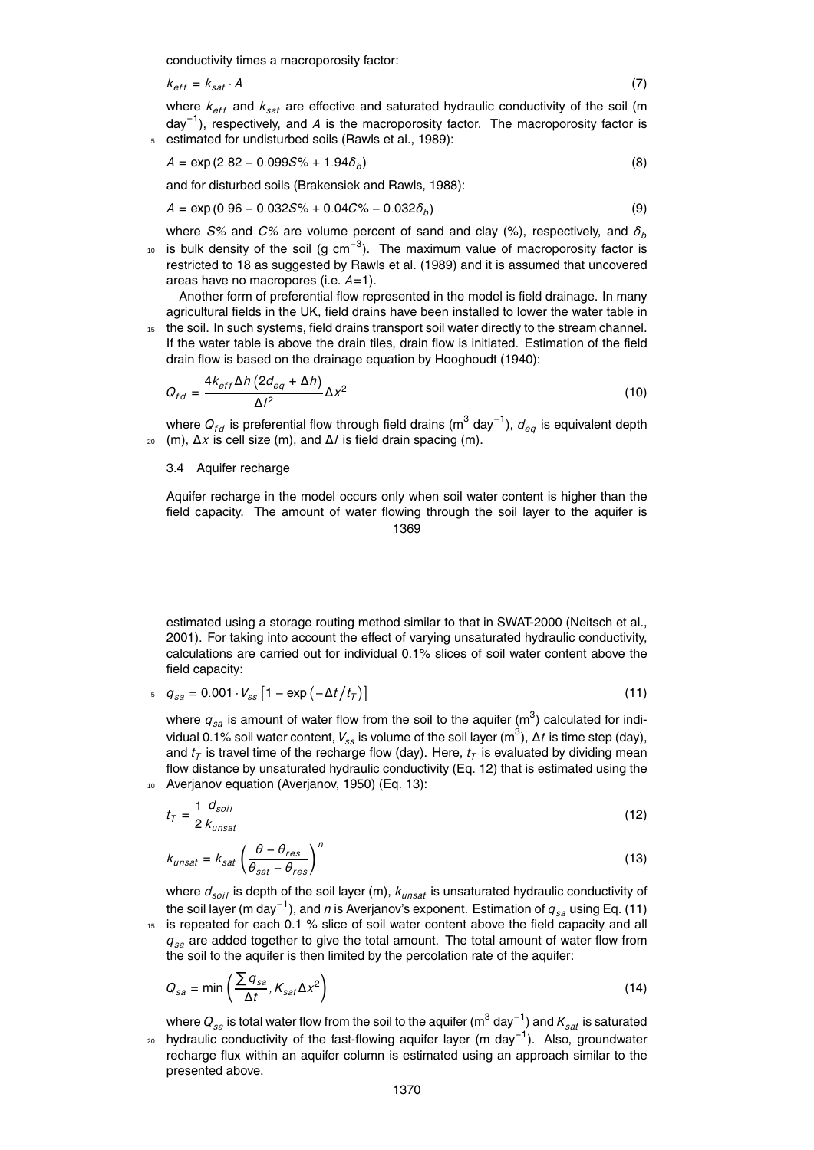conductivity times a macroporosity factor:

$$
k_{\text{eff}} = k_{\text{sat}} \cdot A \tag{7}
$$

where  $k_{\text{eff}}$  and  $k_{\text{sat}}$  are effective and saturated hydraulic conductivity of the soil (m day−<sup>1</sup> ), respectively, and *A* is the macroporosity factor. The macroporosity factor is <sup>5</sup> estimated for undisturbed soils (Rawls et al., 1989):

$$
A = \exp(2.82 - 0.099S\% + 1.94\delta_b)
$$
\n(8)

and for disturbed soils (Brakensiek and Rawls, 1988):

$$
A = \exp(0.96 - 0.032S\% + 0.04C\% - 0.032\delta_b)
$$
\n(9)

where *S%* and *C%* are volume percent of sand and clay (%), respectively, and *δ<sup>b</sup>* <sup>10</sup> is bulk density of the soil (g cm<sup>-3</sup>). The maximum value of macroporosity factor is restricted to 18 as suggested by Rawls et al. (1989) and it is assumed that uncovered areas have no macropores (i.e. *A*=1).

Another form of preferential flow represented in the model is field drainage. In many agricultural fields in the UK, field drains have been installed to lower the water table in

<sup>15</sup> the soil. In such systems, field drains transport soil water directly to the stream channel. If the water table is above the drain tiles, drain flow is initiated. Estimation of the field drain flow is based on the drainage equation by Hooghoudt (1940):

$$
Q_{fd} = \frac{4k_{eff}\Delta h \left(2d_{eq} + \Delta h\right)}{\Delta l^2} \Delta x^2 \tag{10}
$$

where  $Q_{fd}$  is preferential flow through field drains (m<sup>3</sup> day<sup>−1</sup>),  $d_{eq}$  is equivalent depth <sup>20</sup> (m), ∆*x* is cell size (m), and ∆*l* is field drain spacing (m).

#### 3.4 Aquifer recharge

Aquifer recharge in the model occurs only when soil water content is higher than the field capacity. The amount of water flowing through the soil layer to the aquifer is 1369

estimated using a storage routing method similar to that in SWAT-2000 (Neitsch et al., 2001). For taking into account the effect of varying unsaturated hydraulic conductivity, calculations are carried out for individual 0.1% slices of soil water content above the field capacity:

$$
q_{sa} = 0.001 \cdot V_{ss} \left[ 1 - \exp\left( -\Delta t / t_7 \right) \right]
$$
 (11)

where  $q_{sa}$  is amount of water flow from the soil to the aquifer  $\textsf{(m}^3\textsf{)}$  calculated for individual 0.1% soil water content, *<sup>V</sup>ss* is volume of the soil layer (m<sup>3</sup> ), ∆*t* is time step (day), and  $t_{\mathcal{T}}$  is travel time of the recharge flow (day). Here,  $t_{\mathcal{T}}$  is evaluated by dividing mean flow distance by unsaturated hydraulic conductivity (Eq. 12) that is estimated using the <sup>10</sup> Averjanov equation (Averjanov, 1950) (Eq. 13):

$$
t_T = \frac{1}{2} \frac{d_{soil}}{k_{unsat}} \tag{12}
$$

$$
k_{unsat} = k_{sat} \left(\frac{\theta - \theta_{res}}{\theta_{sat} - \theta_{res}}\right)^n
$$
\n(13)

where *dsoil* is depth of the soil layer (m), *kunsat* is unsaturated hydraulic conductivity of the soil layer (m day−<sup>1</sup> ), and *n* is Averjanov's exponent. Estimation of *qsa* using Eq. (11) 15 is repeated for each 0.1 % slice of soil water content above the field capacity and all *qsa* are added together to give the total amount. The total amount of water flow from

$$
Q_{sa} = \min\left(\frac{\sum q_{sa}}{\Delta t}, K_{sat}\Delta x^2\right)
$$
 (14)

the soil to the aquifer is then limited by the percolation rate of the aquifer:

where  $Q_{_{\mathit{SA}}}$  is total water flow from the soil to the aquifer (m $^3$  day $^{-1})$  and  $\mathit{K_{sat}}$  is saturated 20 hydraulic conductivity of the fast-flowing aquifer layer (m day<sup>-1</sup>). Also, groundwater recharge flux within an aquifer column is estimated using an approach similar to the presented above.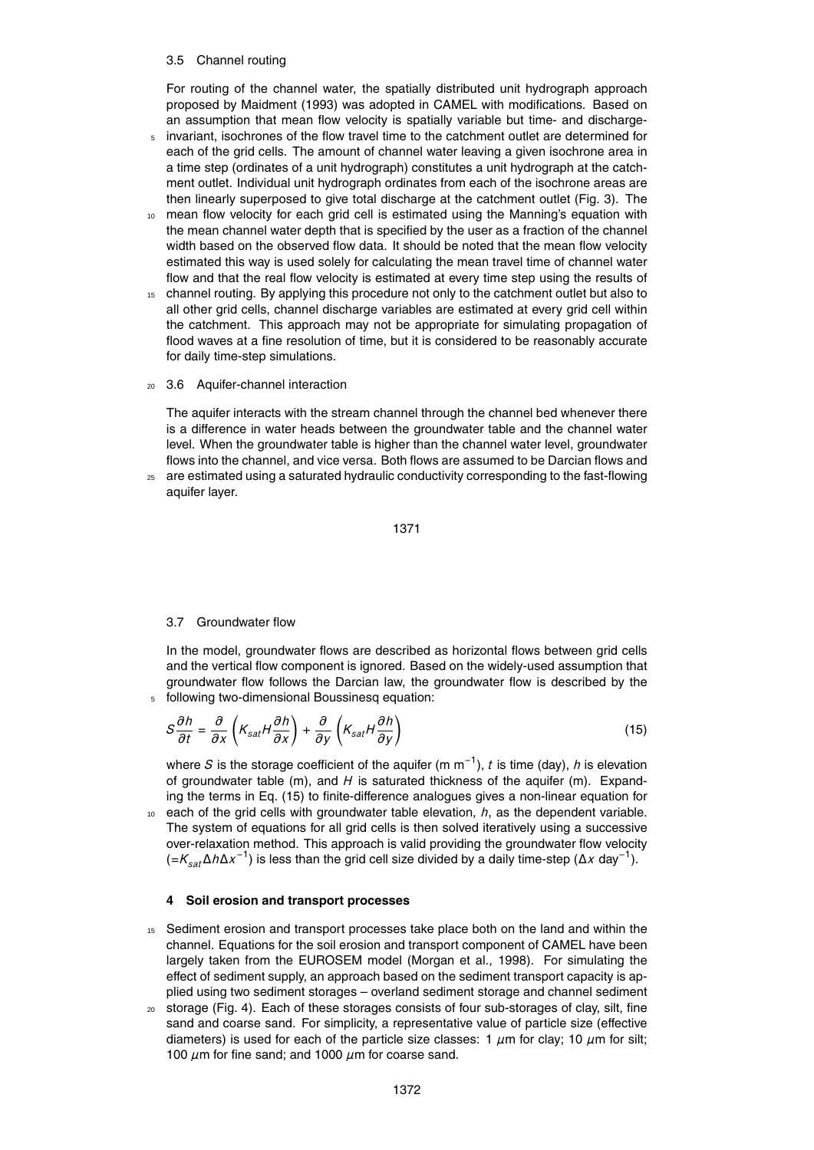#### 3.5 Channel routing

For routing of the channel water, the spatially distributed unit hydrograph approach proposed by Maidment (1993) was adopted in CAMEL with modifications. Based on an assumption that mean flow velocity is spatially variable but time- and discharge-

- <sup>5</sup> invariant, isochrones of the flow travel time to the catchment outlet are determined for each of the grid cells. The amount of channel water leaving a given isochrone area in a time step (ordinates of a unit hydrograph) constitutes a unit hydrograph at the catchment outlet. Individual unit hydrograph ordinates from each of the isochrone areas are then linearly superposed to give total discharge at the catchment outlet (Fig. 3). The
- <sup>10</sup> mean flow velocity for each grid cell is estimated using the Manning's equation with the mean channel water depth that is specified by the user as a fraction of the channel width based on the observed flow data. It should be noted that the mean flow velocity estimated this way is used solely for calculating the mean travel time of channel water flow and that the real flow velocity is estimated at every time step using the results of
- <sup>15</sup> channel routing. By applying this procedure not only to the catchment outlet but also to all other grid cells, channel discharge variables are estimated at every grid cell within the catchment. This approach may not be appropriate for simulating propagation of flood waves at a fine resolution of time, but it is considered to be reasonably accurate for daily time-step simulations.
- <sup>20</sup> 3.6 Aquifer-channel interaction

The aquifer interacts with the stream channel through the channel bed whenever there is a difference in water heads between the groundwater table and the channel water level. When the groundwater table is higher than the channel water level, groundwater flows into the channel, and vice versa. Both flows are assumed to be Darcian flows and

 $25$  are estimated using a saturated hydraulic conductivity corresponding to the fast-flowing aquifer layer.

$$
1371\\
$$

## 3.7 Groundwater flow

In the model, groundwater flows are described as horizontal flows between grid cells and the vertical flow component is ignored. Based on the widely-used assumption that groundwater flow follows the Darcian law, the groundwater flow is described by the <sup>5</sup> following two-dimensional Boussinesq equation:

$$
S\frac{\partial h}{\partial t} = \frac{\partial}{\partial x}\left(K_{sat}H\frac{\partial h}{\partial x}\right) + \frac{\partial}{\partial y}\left(K_{sat}H\frac{\partial h}{\partial y}\right)
$$
(15)

where *S* is the storage coefficient of the aquifer (m m−<sup>1</sup> ), *t* is time (day), *h* is elevation of groundwater table (m), and *H* is saturated thickness of the aquifer (m). Expanding the terms in Eq. (15) to finite-difference analogues gives a non-linear equation for

<sup>10</sup> each of the grid cells with groundwater table elevation, *h*, as the dependent variable. The system of equations for all grid cells is then solved iteratively using a successive over-relaxation method. This approach is valid providing the groundwater flow velocity (=*Ksat*∆*h*∆*x* −1 ) is less than the grid cell size divided by a daily time-step (∆*x* day−<sup>1</sup> ).

## **4 Soil erosion and transport processes**

- <sup>15</sup> Sediment erosion and transport processes take place both on the land and within the channel. Equations for the soil erosion and transport component of CAMEL have been largely taken from the EUROSEM model (Morgan et al., 1998). For simulating the effect of sediment supply, an approach based on the sediment transport capacity is applied using two sediment storages – overland sediment storage and channel sediment
- <sup>20</sup> storage (Fig. 4). Each of these storages consists of four sub-storages of clay, silt, fine sand and coarse sand. For simplicity, a representative value of particle size (effective diameters) is used for each of the particle size classes: 1  $\mu$ m for clay; 10  $\mu$ m for silt; 100 *µ*m for fine sand; and 1000 *µ*m for coarse sand.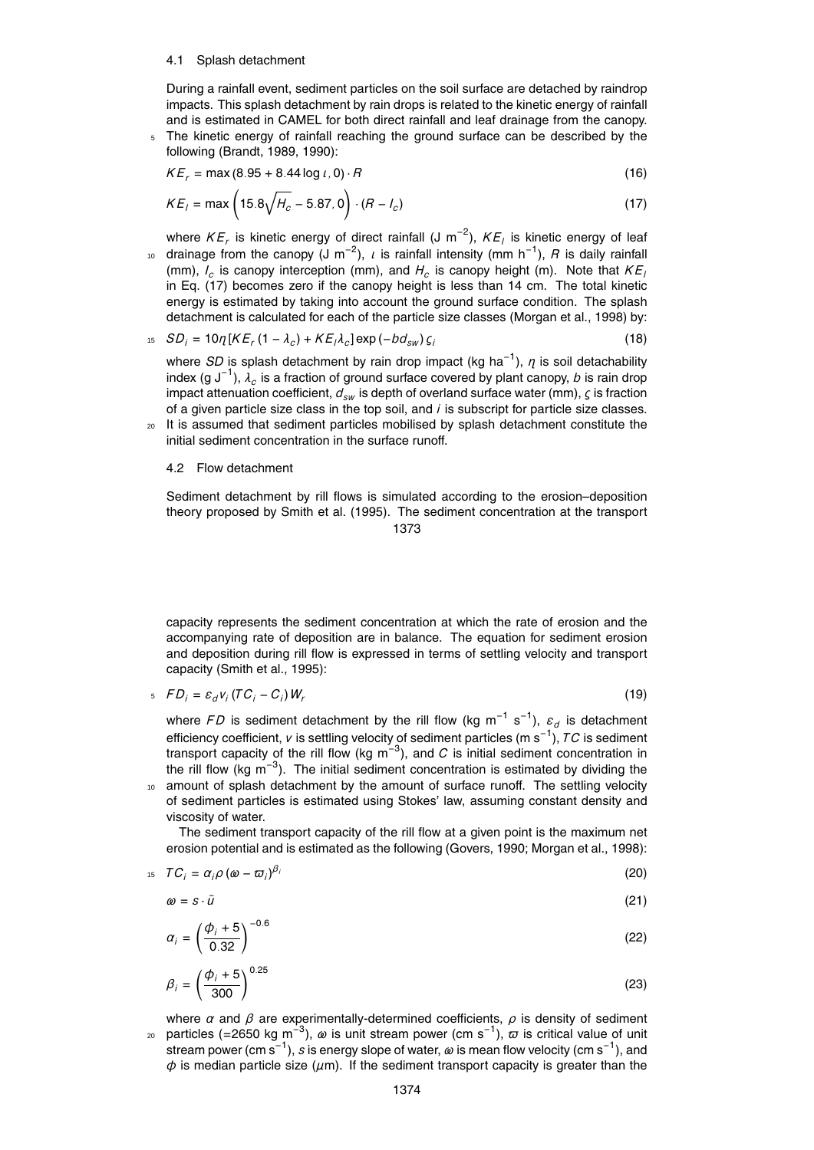#### 4.1 Splash detachment

During a rainfall event, sediment particles on the soil surface are detached by raindrop impacts. This splash detachment by rain drops is related to the kinetic energy of rainfall and is estimated in CAMEL for both direct rainfall and leaf drainage from the canopy.

<sup>5</sup> The kinetic energy of rainfall reaching the ground surface can be described by the following (Brandt, 1989, 1990):

$$
KE_r = \max(8.95 + 8.44 \log t, 0) \cdot R \tag{16}
$$

$$
KE_1 = \max\left(15.8\sqrt{H_c} - 5.87, 0\right) \cdot (R - I_c)
$$
\n(17)

where  $KE_r$  is kinetic energy of direct rainfall (J m<sup>−2</sup>),  $KE_l$  is kinetic energy of leaf <sup>10</sup> drainage from the canopy (J m<sup>−2</sup>), *ι* is rainfall intensity (mm h<sup>−1</sup>), *R* is daily rainfall (mm), *I<sup>c</sup>* is canopy interception (mm), and *H<sup>c</sup>* is canopy height (m). Note that *K E<sup>l</sup>* in Eq. (17) becomes zero if the canopy height is less than 14 cm. The total kinetic energy is estimated by taking into account the ground surface condition. The splash detachment is calculated for each of the particle size classes (Morgan et al., 1998) by:

$$
{}_{15} \t SO_{i} = 10 \eta \left[ KE_{r} (1 - \lambda_{c}) + KE_{i} \lambda_{c} \right] \exp(-bd_{sw}) \zeta_{i}
$$
 (18)

where *SD* is splash detachment by rain drop impact (kg ha−<sup>1</sup> ), *η* is soil detachability index (g J−<sup>1</sup> ), *λ<sup>c</sup>* is a fraction of ground surface covered by plant canopy, *b* is rain drop impact attenuation coefficient, *dsw* is depth of overland surface water (mm), *ς* is fraction of a given particle size class in the top soil, and *i* is subscript for particle size classes.

<sup>20</sup> It is assumed that sediment particles mobilised by splash detachment constitute the initial sediment concentration in the surface runoff.

#### 4.2 Flow detachment

Sediment detachment by rill flows is simulated according to the erosion–deposition theory proposed by Smith et al. (1995). The sediment concentration at the transport 1373

capacity represents the sediment concentration at which the rate of erosion and the accompanying rate of deposition are in balance. The equation for sediment erosion and deposition during rill flow is expressed in terms of settling velocity and transport capacity (Smith et al., 1995):

$$
E_{i} = \mathcal{E}_{i} V_{i} (TC_{i} - C_{i}) W_{r}
$$
 (19)

where FD is sediment detachment by the rill flow (kg m<sup>-1</sup> s<sup>-1</sup>), ε<sub>d</sub> is detachment efficiency coefficient, *v* is settling velocity of sediment particles (m s−<sup>1</sup> ), *T C* is sediment transport capacity of the rill flow (kg m<sup>-3</sup>), and  $C$  is initial sediment concentration in the rill flow (kg m<sup>-3</sup>). The initial sediment concentration is estimated by dividing the amount of splash detachment by the amount of surface runoff. The settling velocity

of sediment particles is estimated using Stokes' law, assuming constant density and viscosity of water.

The sediment transport capacity of the rill flow at a given point is the maximum net erosion potential and is estimated as the following (Govers, 1990; Morgan et al., 1998):

$$
T C_i = \alpha_i \rho \left( \omega - \overline{\omega}_i \right)^{\beta_i} \tag{20}
$$

$$
\omega = s \cdot \bar{u} \tag{21}
$$

$$
\alpha_i = \left(\frac{\phi_i + 5}{0.32}\right)^{-0.6} \tag{22}
$$

$$
\beta_i = \left(\frac{\phi_i + 5}{300}\right)^{0.25} \tag{23}
$$

where  $\alpha$  and  $\beta$  are experimentally-determined coefficients,  $\rho$  is density of sediment <sup>20</sup> particles (=2650 kg m<sup>−3</sup>), *ω* is unit stream power (cm s<sup>−1</sup>),  $\bar{\omega}$  is critical value of unit stream power (cm s−<sup>1</sup> ), *s* is energy slope of water, *ω* is mean flow velocity (cm s−<sup>1</sup> ), and *φ* is median particle size (*µ*m). If the sediment transport capacity is greater than the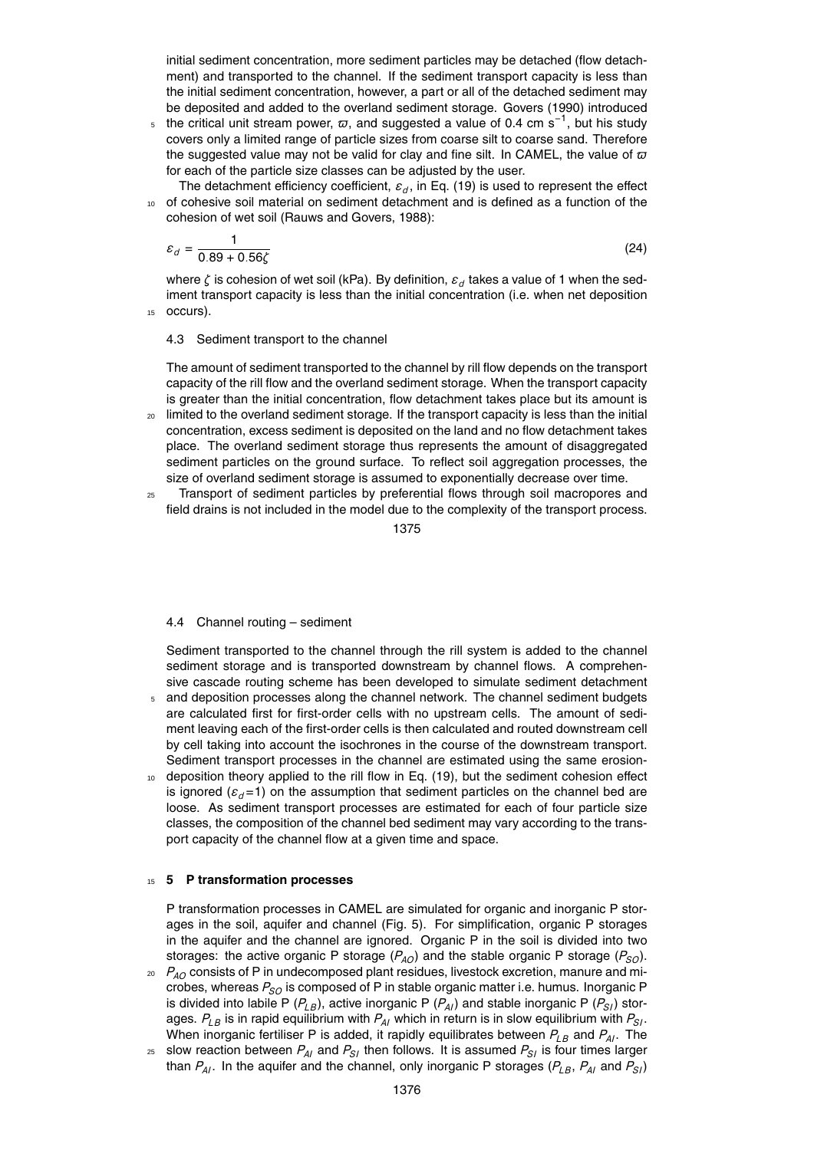initial sediment concentration, more sediment particles may be detached (flow detachment) and transported to the channel. If the sediment transport capacity is less than the initial sediment concentration, however, a part or all of the detached sediment may be deposited and added to the overland sediment storage. Govers (1990) introduced

5 the critical unit stream power,  $\varpi$ , and suggested a value of 0.4 cm s<sup>-1</sup>, but his study covers only a limited range of particle sizes from coarse silt to coarse sand. Therefore the suggested value may not be valid for clay and fine silt. In CAMEL, the value of  $\varpi$ for each of the particle size classes can be adjusted by the user.

The detachment efficiency coefficient, *ε<sup>d</sup>* , in Eq. (19) is used to represent the effect of cohesive soil material on sediment detachment and is defined as a function of the cohesion of wet soil (Rauws and Govers, 1988):

$$
\varepsilon_d = \frac{1}{0.89 + 0.56\zeta}
$$
 (24)

where *ζ* is cohesion of wet soil (kPa). By definition, *ε<sup>d</sup>* takes a value of 1 when the sediment transport capacity is less than the initial concentration (i.e. when net deposition <sup>15</sup> occurs).

## 4.3 Sediment transport to the channel

The amount of sediment transported to the channel by rill flow depends on the transport capacity of the rill flow and the overland sediment storage. When the transport capacity is greater than the initial concentration, flow detachment takes place but its amount is

- <sup>20</sup> limited to the overland sediment storage. If the transport capacity is less than the initial concentration, excess sediment is deposited on the land and no flow detachment takes place. The overland sediment storage thus represents the amount of disaggregated sediment particles on the ground surface. To reflect soil aggregation processes, the size of overland sediment storage is assumed to exponentially decrease over time.
- <sup>25</sup> Transport of sediment particles by preferential flows through soil macropores and field drains is not included in the model due to the complexity of the transport process.

1375

## 4.4 Channel routing – sediment

Sediment transported to the channel through the rill system is added to the channel sediment storage and is transported downstream by channel flows. A comprehensive cascade routing scheme has been developed to simulate sediment detachment

- <sup>5</sup> and deposition processes along the channel network. The channel sediment budgets are calculated first for first-order cells with no upstream cells. The amount of sediment leaving each of the first-order cells is then calculated and routed downstream cell by cell taking into account the isochrones in the course of the downstream transport. Sediment transport processes in the channel are estimated using the same erosion-
- <sup>10</sup> deposition theory applied to the rill flow in Eq. (19), but the sediment cohesion effect is ignored ( $\varepsilon_d$ =1) on the assumption that sediment particles on the channel bed are loose. As sediment transport processes are estimated for each of four particle size classes, the composition of the channel bed sediment may vary according to the transport capacity of the channel flow at a given time and space.

## <sup>15</sup> **5 P transformation processes**

P transformation processes in CAMEL are simulated for organic and inorganic P storages in the soil, aquifer and channel (Fig. 5). For simplification, organic P storages in the aquifer and the channel are ignored. Organic P in the soil is divided into two storages: the active organic P storage  $(P_{AO})$  and the stable organic P storage  $(P_{SO})$ .

- <sup>20</sup> *PAO* consists of P in undecomposed plant residues, livestock excretion, manure and microbes, whereas  $P_{SO}$  is composed of P in stable organic matter i.e. humus. Inorganic P is divided into labile P  $(P_{LB})$ , active inorganic P  $(P_{AI})$  and stable inorganic P  $(P_{SI})$  storages.  $P_{LB}$  is in rapid equilibrium with  $P_{AI}$  which in return is in slow equilibrium with  $P_{SI}$ . When inorganic fertiliser P is added, it rapidly equilibrates between  $P_{LB}$  and  $P_{AI}$ . The
- $25$  slow reaction between  $P_{AI}$  and  $P_{SI}$  then follows. It is assumed  $P_{SI}$  is four times larger than  $P_{AI}$ . In the aquifer and the channel, only inorganic P storages ( $P_{LB}$ ,  $P_{AI}$  and  $P_{SI}$ )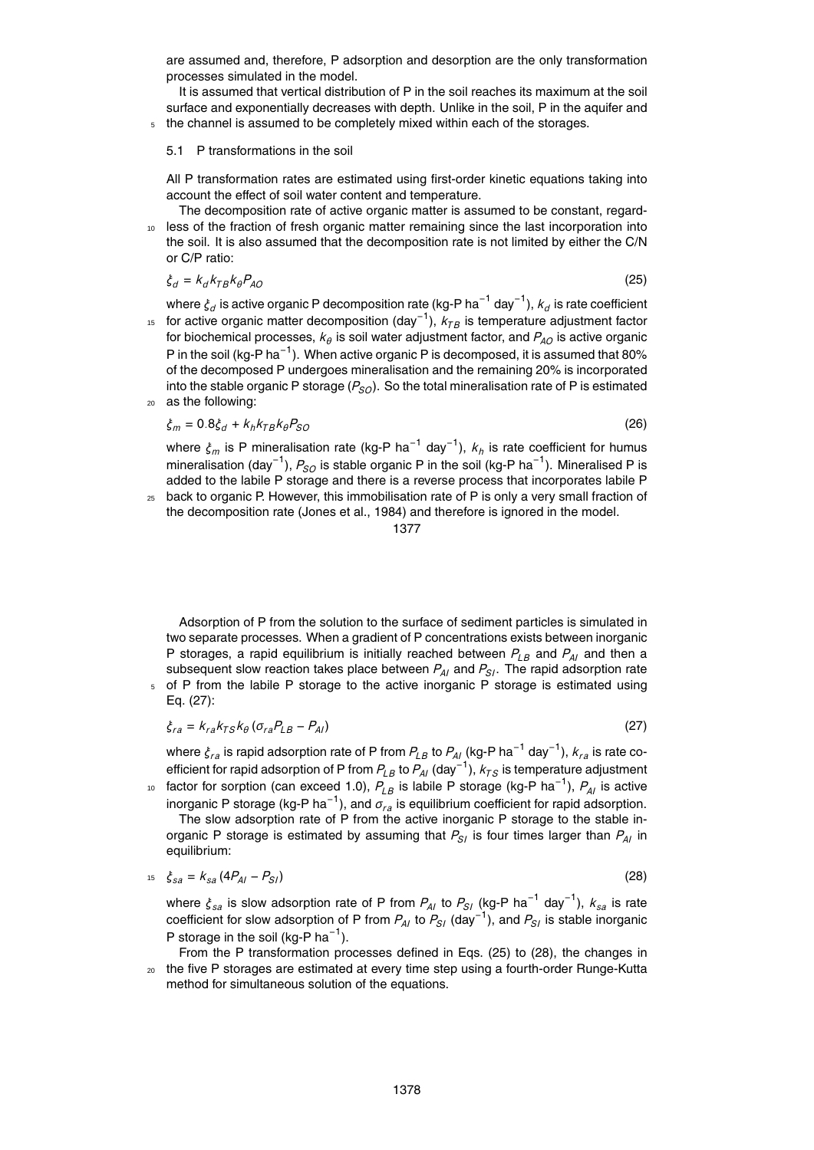are assumed and, therefore, P adsorption and desorption are the only transformation processes simulated in the model.

It is assumed that vertical distribution of P in the soil reaches its maximum at the soil surface and exponentially decreases with depth. Unlike in the soil, P in the aquifer and <sup>5</sup> the channel is assumed to be completely mixed within each of the storages.

#### 5.1 P transformations in the soil

All P transformation rates are estimated using first-order kinetic equations taking into account the effect of soil water content and temperature.

The decomposition rate of active organic matter is assumed to be constant, regard-<sup>10</sup> less of the fraction of fresh organic matter remaining since the last incorporation into the soil. It is also assumed that the decomposition rate is not limited by either the C/N

$$
\dot{\xi}_d = k_d k_{TB} k_\theta P_{AO} \tag{25}
$$

where  $\xi_d$  is active organic P decomposition rate (kg-P ha<sup>−1</sup> day<sup>−1</sup>),  $k_d$  is rate coefficient

- <sup>15</sup> for active organic matter decomposition (day<sup>-1</sup>),  $k_{TB}$  is temperature adjustment factor for biochemical processes,  $\kappa_\theta$  is soil water adjustment factor, and  $P_{AO}$  is active organic P in the soil (kg-P ha $^{-1}$ ). When active organic P is decomposed, it is assumed that 80% of the decomposed P undergoes mineralisation and the remaining 20% is incorporated into the stable organic P storage  $(P_{SQ})$ . So the total mineralisation rate of P is estimated
- <sup>20</sup> as the following:

or C/P ratio:

$$
\xi_m = 0.8 \xi_d + k_h k_{TB} k_\theta P_{SO} \tag{26}
$$

where *<sup>ξ</sup><sup>m</sup>* is P mineralisation rate (kg-P ha−<sup>1</sup> day−<sup>1</sup> ), *k<sup>h</sup>* is rate coefficient for humus mineralisation (day<sup>−1</sup>),  $P_{SO}$  is stable organic P in the soil (kg-P ha<sup>−1</sup>). Mineralised P is added to the labile P storage and there is a reverse process that incorporates labile P

 $25$  back to organic P. However, this immobilisation rate of P is only a very small fraction of the decomposition rate (Jones et al., 1984) and therefore is ignored in the model.

#### 1377

Adsorption of P from the solution to the surface of sediment particles is simulated in two separate processes. When a gradient of P concentrations exists between inorganic P storages, a rapid equilibrium is initially reached between  $P_{LB}$  and  $P_{AI}$  and then a subsequent slow reaction takes place between  $P_{AI}$  and  $P_{SI}$ . The rapid adsorption rate of P from the labile P storage to the active inorganic P storage is estimated using

Eq. (27):

$$
\xi_{ra} = k_{ra} k_{TS} k_{\theta} \left( \sigma_{ra} P_{LB} - P_{AI} \right) \tag{27}
$$

where *<sup>ξ</sup>ra* is rapid adsorption rate of P from *<sup>P</sup>LB* to *<sup>P</sup>AI* (kg-P ha−<sup>1</sup> day−<sup>1</sup> ), *kra* is rate co<sup>e</sup>fficient for rapid adsorption of P from *<sup>P</sup>LB* to *<sup>P</sup>AI* (day−<sup>1</sup> ), *kT S* is temperature adjustment

10 factor for sorption (can exceed 1.0),  $P_{LB}$  is labile P storage (kg-P ha<sup>−1</sup>),  $P_{AI}$  is active inorganic P storage (kg-P ha−<sup>1</sup> ), and *σra* is equilibrium coefficient for rapid adsorption. The slow adsorption rate of P from the active inorganic P storage to the stable inorganic P storage is estimated by assuming that  $P_{SI}$  is four times larger than  $P_{AI}$  in equilibrium:

$$
t_5 \t \xi_{sa} = k_{sa} (4P_{Al} - P_{SI})
$$
\t(28)

where *<sup>ξ</sup>sa* is slow adsorption rate of P from *<sup>P</sup>AI* to *<sup>P</sup>SI* (kg-P ha−<sup>1</sup> day−<sup>1</sup> ), *ksa* is rate coefficient for slow adsorption of P from *<sup>P</sup>AI* to *<sup>P</sup>SI* (day−<sup>1</sup> ), and *PSI* is stable inorganic P storage in the soil (kg-P ha<sup>-1</sup>).

From the P transformation processes defined in Eqs. (25) to (28), the changes in <sup>20</sup> the five P storages are estimated at every time step using a fourth-order Runge-Kutta method for simultaneous solution of the equations.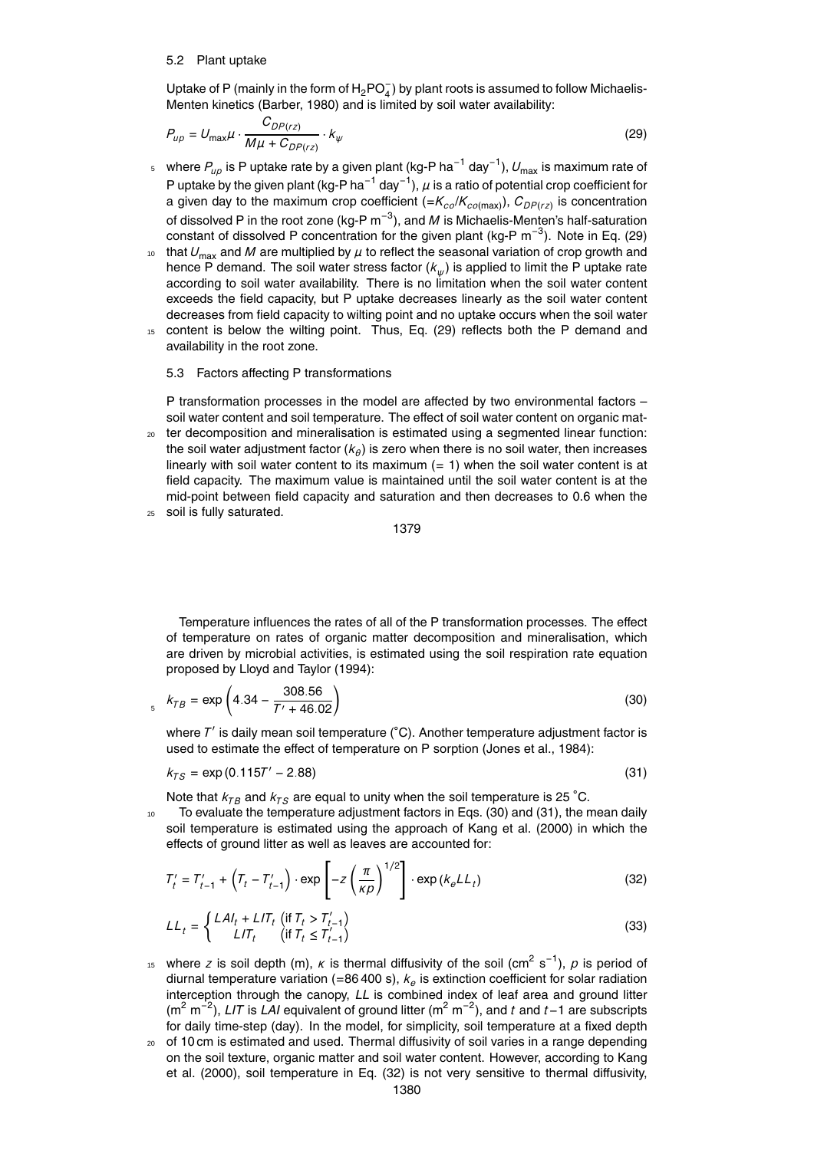#### 5.2 Plant uptake

Uptake of P (mainly in the form of  $H_2$ PO $_4^-$ ) by plant roots is assumed to follow Michaelis-Menten kinetics (Barber, 1980) and is limited by soil water availability:

$$
P_{\mu\rho} = U_{\text{max}}\mu \cdot \frac{C_{DP(rz)}}{M\mu + C_{DP(rz)}} \cdot k_{\psi}
$$
\n(29)

- <sub>5</sub> where  $P_{_{\boldsymbol{\mu} \rho}}$  is P uptake rate by a given plant (kg-P ha<sup>−1</sup> day<sup>−1</sup>),  $U_{\sf max}$  is maximum rate of P uptake by the given plant (kg-P ha<sup>−1</sup> day<sup>−1</sup>),  $\mu$  is a ratio of potential crop coefficient for a given day to the maximum crop coefficient (=*Kco*/*Kco*(max)), *CDP* (*rz*) is concentration of dissolved P in the root zone (kg-P m<sup>-3</sup>), and *M* is Michaelis-Menten's half-saturation constant of dissolved P concentration for the given plant (kg-P  $m^{-3}$ ). Note in Eq. (29)
- <sup>10</sup> that  $U_{\text{max}}$  and *M* are multiplied by  $\mu$  to reflect the seasonal variation of crop growth and hence P demand. The soil water stress factor (*k<sup>ψ</sup>* ) is applied to limit the P uptake rate according to soil water availability. There is no limitation when the soil water content exceeds the field capacity, but P uptake decreases linearly as the soil water content decreases from field capacity to wilting point and no uptake occurs when the soil water
- <sup>15</sup> content is below the wilting point. Thus, Eq. (29) reflects both the P demand and availability in the root zone.

#### 5.3 Factors affecting P transformations

P transformation processes in the model are affected by two environmental factors – soil water content and soil temperature. The effect of soil water content on organic mat-

<sup>20</sup> ter decomposition and mineralisation is estimated using a segmented linear function: the soil water adjustment factor (*k<sup>θ</sup>* ) is zero when there is no soil water, then increases linearly with soil water content to its maximum  $(= 1)$  when the soil water content is at field capacity. The maximum value is maintained until the soil water content is at the mid-point between field capacity and saturation and then decreases to 0.6 when the <sup>25</sup> soil is fully saturated.

1379

Temperature influences the rates of all of the P transformation processes. The effect of temperature on rates of organic matter decomposition and mineralisation, which are driven by microbial activities, is estimated using the soil respiration rate equation proposed by Lloyd and Taylor (1994):

$$
k_{TB} = \exp\left(4.34 - \frac{308.56}{T' + 46.02}\right)
$$
\n(30)

where T' is daily mean soil temperature (℃). Another temperature adjustment factor is used to estimate the effect of temperature on P sorption (Jones et al., 1984):

$$
k_{TS} = \exp(0.115T' - 2.88) \tag{31}
$$

Note that  $k_{TB}$  and  $k_{TS}$  are equal to unity when the soil temperature is 25 °C.

<sup>10</sup> To evaluate the temperature adjustment factors in Eqs. (30) and (31), the mean daily soil temperature is estimated using the approach of Kang et al. (2000) in which the effects of ground litter as well as leaves are accounted for:

$$
T'_{t} = T'_{t-1} + \left(T_{t} - T'_{t-1}\right) \cdot \exp\left[-z\left(\frac{\pi}{\kappa\rho}\right)^{1/2}\right] \cdot \exp\left(k_{\rho}L_{t}\right) \tag{32}
$$

$$
LL_t = \begin{cases} LAl_t + LIT_t \quad \text{(if } T_t > T'_{t-1})\\ LIT_t \quad \text{(if } T_t \le T'_{t-1}) \end{cases}
$$
\n(33)

- $15$  where *z* is soil depth (m), *κ* is thermal diffusivity of the soil (cm<sup>2</sup> s<sup>-1</sup>), *p* is period of diurnal temperature variation (=86 400 s), *k<sup>e</sup>* is extinction coefficient for solar radiation interception through the canopy, *LL* is combined index of leaf area and ground litter (m<sup>2</sup> m<sup>-2</sup>), LIT is LAI equivalent of ground litter (m<sup>2</sup> m<sup>-2</sup>), and t and t-1 are subscripts for daily time-step (day). In the model, for simplicity, soil temperature at a fixed depth
- <sup>20</sup> of 10 cm is estimated and used. Thermal diffusivity of soil varies in a range depending on the soil texture, organic matter and soil water content. However, according to Kang et al. (2000), soil temperature in Eq. (32) is not very sensitive to thermal diffusivity,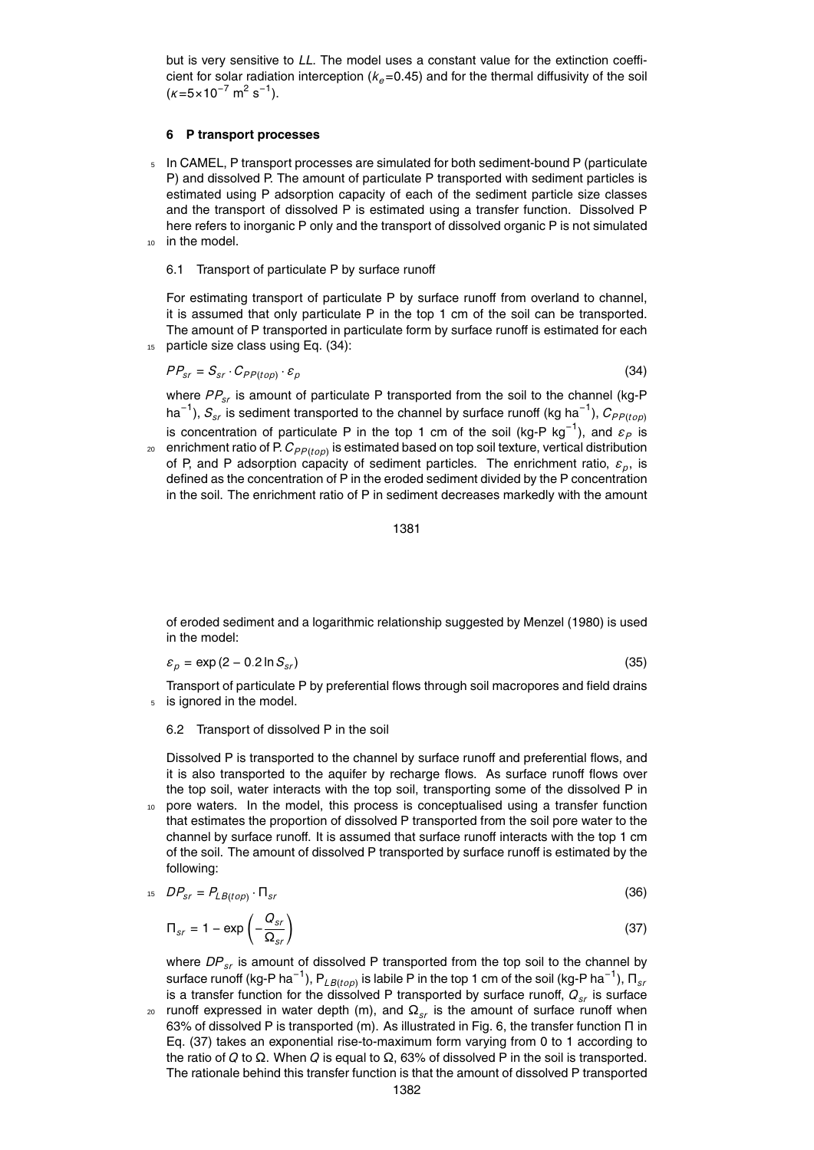but is very sensitive to *LL*. The model uses a constant value for the extinction coefficient for solar radiation interception  $(k_e=0.45)$  and for the thermal diffusivity of the soil  $(\kappa = 5 \times 10^{-7} \text{ m}^2 \text{ s}^{-1}).$ 

## **6 P transport processes**

 $5$  In CAMEL, P transport processes are simulated for both sediment-bound P (particulate P) and dissolved P. The amount of particulate P transported with sediment particles is estimated using P adsorption capacity of each of the sediment particle size classes and the transport of dissolved P is estimated using a transfer function. Dissolved P here refers to inorganic P only and the transport of dissolved organic P is not simulated 10 in the model.

#### 6.1 Transport of particulate P by surface runoff

For estimating transport of particulate P by surface runoff from overland to channel, it is assumed that only particulate P in the top 1 cm of the soil can be transported. The amount of P transported in particulate form by surface runoff is estimated for each 15 particle size class using Eq. (34):

$$
PP_{sr} = S_{sr} \cdot C_{PP(top)} \cdot \varepsilon_p \tag{34}
$$

where  $PP_{sr}$  is amount of particulate P transported from the soil to the channel (kg-P ha<sup>−1</sup>),  $S_{\scriptscriptstyle{sr}}$  is sediment transported to the channel by surface runoff (kg ha<sup>−1</sup>),  $C_{\scriptscriptstyle{P}P(top)}$ is concentration of particulate P in the top 1 cm of the soil (kg-P kg<sup>-1</sup>), and  $\varepsilon_P$  is

 $_{\text{20}}$   $\,$  enrichment ratio of P.  $C_{PP (top)}$  is estimated based on top soil texture, vertical distribution of P, and P adsorption capacity of sediment particles. The enrichment ratio, *ε<sup>p</sup>* , is defined as the concentration of P in the eroded sediment divided by the P concentration in the soil. The enrichment ratio of P in sediment decreases markedly with the amount

$$
1381\\
$$

of eroded sediment and a logarithmic relationship suggested by Menzel (1980) is used in the model:

$$
\varepsilon_p = \exp\left(2 - 0.2 \ln S_{sr}\right) \tag{35}
$$

Transport of particulate P by preferential flows through soil macropores and field drains <sup>5</sup> is ignored in the model.

#### 6.2 Transport of dissolved P in the soil

Dissolved P is transported to the channel by surface runoff and preferential flows, and it is also transported to the aquifer by recharge flows. As surface runoff flows over the top soil, water interacts with the top soil, transporting some of the dissolved P in

<sup>10</sup> pore waters. In the model, this process is conceptualised using a transfer function that estimates the proportion of dissolved P transported from the soil pore water to the channel by surface runoff. It is assumed that surface runoff interacts with the top 1 cm of the soil. The amount of dissolved P transported by surface runoff is estimated by the following:

$$
^{15}DP_{sr} = P_{LB(top)} \cdot \Pi_{sr} \tag{36}
$$

$$
\Pi_{sr} = 1 - \exp\left(-\frac{Q_{sr}}{\Omega_{sr}}\right) \tag{37}
$$

where  $DP_{sr}$  is amount of dissolved P transported from the top soil to the channel by surface runoff (kg-P ha $^{-1}$ ),  ${\mathsf P}_{\mathit{LB}(top)}$  is labile P in the top 1 cm of the soil (kg-P ha $^{-1}$ ),  ${\mathsf \Pi}_{_{SI}}$ is a transfer function for the dissolved P transported by surface runoff,  $Q_{sr}$  is surface

runoff expressed in water depth (m), and  $\Omega_{sr}$  is the amount of surface runoff when 63% of dissolved P is transported (m). As illustrated in Fig. 6, the transfer function Π in Eq. (37) takes an exponential rise-to-maximum form varying from 0 to 1 according to the ratio of *Q* to Ω. When *Q* is equal to Ω, 63% of dissolved P in the soil is transported. The rationale behind this transfer function is that the amount of dissolved P transported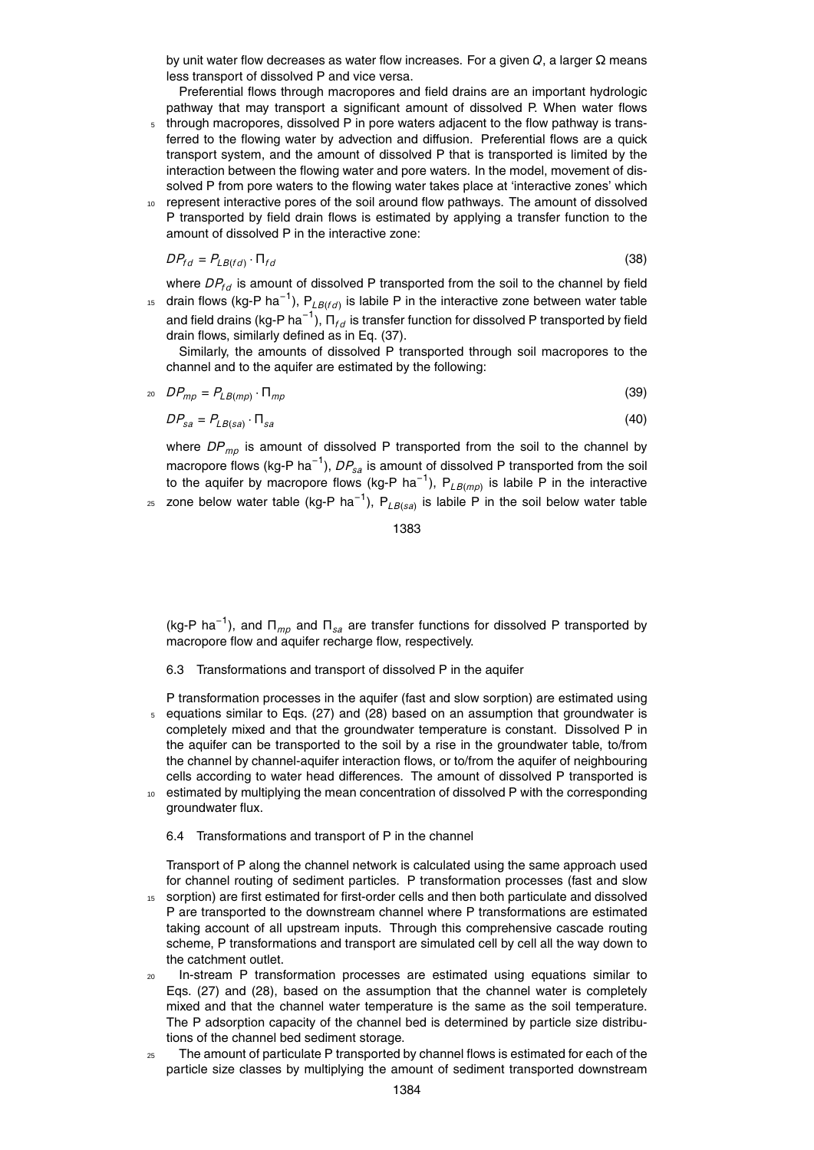by unit water flow decreases as water flow increases. For a given *Q*, a larger Ω means less transport of dissolved P and vice versa.

Preferential flows through macropores and field drains are an important hydrologic pathway that may transport a significant amount of dissolved P. When water flows

- <sup>5</sup> through macropores, dissolved P in pore waters adjacent to the flow pathway is transferred to the flowing water by advection and diffusion. Preferential flows are a quick transport system, and the amount of dissolved P that is transported is limited by the interaction between the flowing water and pore waters. In the model, movement of dissolved P from pore waters to the flowing water takes place at 'interactive zones' which
- <sup>10</sup> represent interactive pores of the soil around flow pathways. The amount of dissolved P transported by field drain flows is estimated by applying a transfer function to the amount of dissolved P in the interactive zone:

$$
DP_{fd} = P_{LB(fd)} \cdot \Pi_{fd} \tag{38}
$$

where  $DP_{fd}$  is amount of dissolved P transported from the soil to the channel by field

<sup>15</sup> drain flows (kg-P ha<sup>-1</sup>), P<sub>LB(fd)</sub> is labile P in the interactive zone between water table and field drains (kg-P ha $^{-1}$ ),  $\bm{\mathsf{\Pi}}_{fd}$  is transfer function for dissolved P transported by field drain flows, similarly defined as in Eq. (37).

Similarly, the amounts of dissolved P transported through soil macropores to the channel and to the aquifer are estimated by the following:

$$
p_{mp} = P_{LB(mp)} \cdot \Pi_{mp} \tag{39}
$$

$$
DP_{sa} = P_{LB(sa)} \cdot \Pi_{sa} \tag{40}
$$

where *DP<sub>mp</sub>* is amount of dissolved P transported from the soil to the channel by macropore flows (kg-P ha<sup>−1</sup>), *DP<sub>sa</sub>* is amount of dissolved P transported from the soil to the aquifer by macropore flows (kg-P ha<sup>-1</sup>), P<sub>LB(mp)</sub> is labile P in the interactive

25 zone below water table (kg-P ha<sup>−1</sup>), P<sub>LB(sa)</sub> is labile P in the soil below water table

1383

(kg-P ha<sup>-1</sup>), and Π<sub>*mp*</sub> and Π<sub>sa</sub> are transfer functions for dissolved P transported by macropore flow and aquifer recharge flow, respectively.

- 6.3 Transformations and transport of dissolved P in the aquifer
- P transformation processes in the aquifer (fast and slow sorption) are estimated using <sup>5</sup> equations similar to Eqs. (27) and (28) based on an assumption that groundwater is completely mixed and that the groundwater temperature is constant. Dissolved P in the aquifer can be transported to the soil by a rise in the groundwater table, to/from the channel by channel-aquifer interaction flows, or to/from the aquifer of neighbouring cells according to water head differences. The amount of dissolved P transported is estimated by multiplying the mean concentration of dissolved P with the corresponding groundwater flux.

## 6.4 Transformations and transport of P in the channel

Transport of P along the channel network is calculated using the same approach used for channel routing of sediment particles. P transformation processes (fast and slow

- <sup>15</sup> sorption) are first estimated for first-order cells and then both particulate and dissolved P are transported to the downstream channel where P transformations are estimated taking account of all upstream inputs. Through this comprehensive cascade routing scheme, P transformations and transport are simulated cell by cell all the way down to the catchment outlet.
- <sup>20</sup> In-stream P transformation processes are estimated using equations similar to Eqs. (27) and (28), based on the assumption that the channel water is completely mixed and that the channel water temperature is the same as the soil temperature. The P adsorption capacity of the channel bed is determined by particle size distributions of the channel bed sediment storage.
- $25$  The amount of particulate P transported by channel flows is estimated for each of the particle size classes by multiplying the amount of sediment transported downstream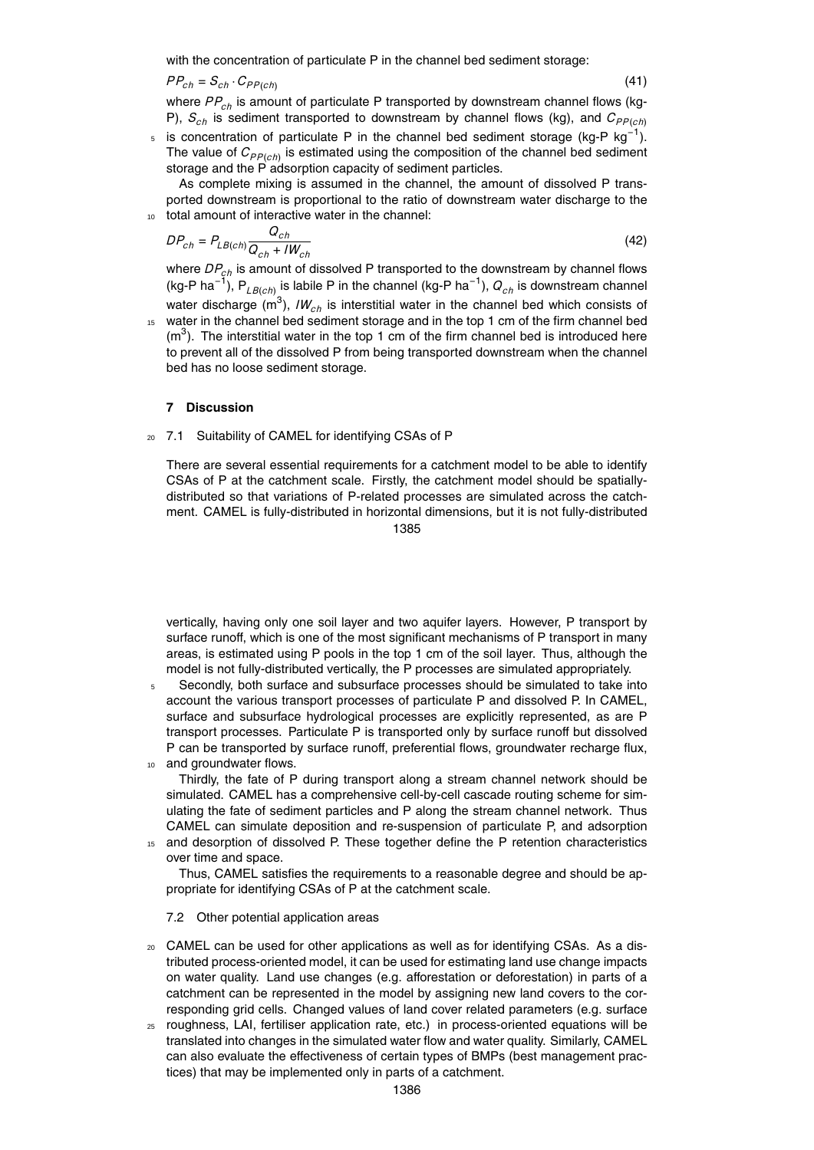with the concentration of particulate P in the channel bed sediment storage:

 $PP_{ch} = S_{ch} \cdot C_{PP(ch)}$ 

where *PP<sub>ch</sub>* is amount of particulate P transported by downstream channel flows (kg-P),  $S_{ch}$  is sediment transported to downstream by channel flows (kg), and  $C_{PP(ch)}$ 

(41)

(42)

 $5$  is concentration of particulate P in the channel bed sediment storage (kg-P kg<sup>-1</sup>). The value of  $C_{PP(ch)}$  is estimated using the composition of the channel bed sediment storage and the P adsorption capacity of sediment particles.

As complete mixing is assumed in the channel, the amount of dissolved P transported downstream is proportional to the ratio of downstream water discharge to the <sup>10</sup> total amount of interactive water in the channel:

$$
DP_{ch} = P_{LB(ch)} \frac{Q_{ch}}{Q_{ch} + lW_{ch}}
$$

where *DPch* is amount of dissolved P transported to the downstream by channel flows (kg-P ha−<sup>1</sup> ), P*LB*(*ch*) is labile P in the channel (kg-P ha−<sup>1</sup> ), *Qch* is downstream channel water discharge (m<sup>3</sup>), *IW<sub>ch</sub>* is interstitial water in the channel bed which consists of

<sup>15</sup> water in the channel bed sediment storage and in the top 1 cm of the firm channel bed  $(m<sup>3</sup>)$ . The interstitial water in the top 1 cm of the firm channel bed is introduced here to prevent all of the dissolved P from being transported downstream when the channel bed has no loose sediment storage.

## **7 Discussion**

<sup>20</sup> 7.1 Suitability of CAMEL for identifying CSAs of P

There are several essential requirements for a catchment model to be able to identify CSAs of P at the catchment scale. Firstly, the catchment model should be spatiallydistributed so that variations of P-related processes are simulated across the catchment. CAMEL is fully-distributed in horizontal dimensions, but it is not fully-distributed

1385

vertically, having only one soil layer and two aquifer layers. However, P transport by surface runoff, which is one of the most significant mechanisms of P transport in many areas, is estimated using P pools in the top 1 cm of the soil layer. Thus, although the model is not fully-distributed vertically, the P processes are simulated appropriately.

<sup>5</sup> Secondly, both surface and subsurface processes should be simulated to take into account the various transport processes of particulate P and dissolved P. In CAMEL, surface and subsurface hydrological processes are explicitly represented, as are P transport processes. Particulate P is transported only by surface runoff but dissolved P can be transported by surface runoff, preferential flows, groundwater recharge flux, 10 and groundwater flows.

Thirdly, the fate of P during transport along a stream channel network should be simulated. CAMEL has a comprehensive cell-by-cell cascade routing scheme for simulating the fate of sediment particles and P along the stream channel network. Thus CAMEL can simulate deposition and re-suspension of particulate P, and adsorption

<sup>15</sup> and desorption of dissolved P. These together define the P retention characteristics over time and space.

Thus, CAMEL satisfies the requirements to a reasonable degree and should be appropriate for identifying CSAs of P at the catchment scale.

## 7.2 Other potential application areas

- <sup>20</sup> CAMEL can be used for other applications as well as for identifying CSAs. As a distributed process-oriented model, it can be used for estimating land use change impacts on water quality. Land use changes (e.g. afforestation or deforestation) in parts of a catchment can be represented in the model by assigning new land covers to the corresponding grid cells. Changed values of land cover related parameters (e.g. surface
- <sup>25</sup> roughness, LAI, fertiliser application rate, etc.) in process-oriented equations will be translated into changes in the simulated water flow and water quality. Similarly, CAMEL can also evaluate the effectiveness of certain types of BMPs (best management practices) that may be implemented only in parts of a catchment.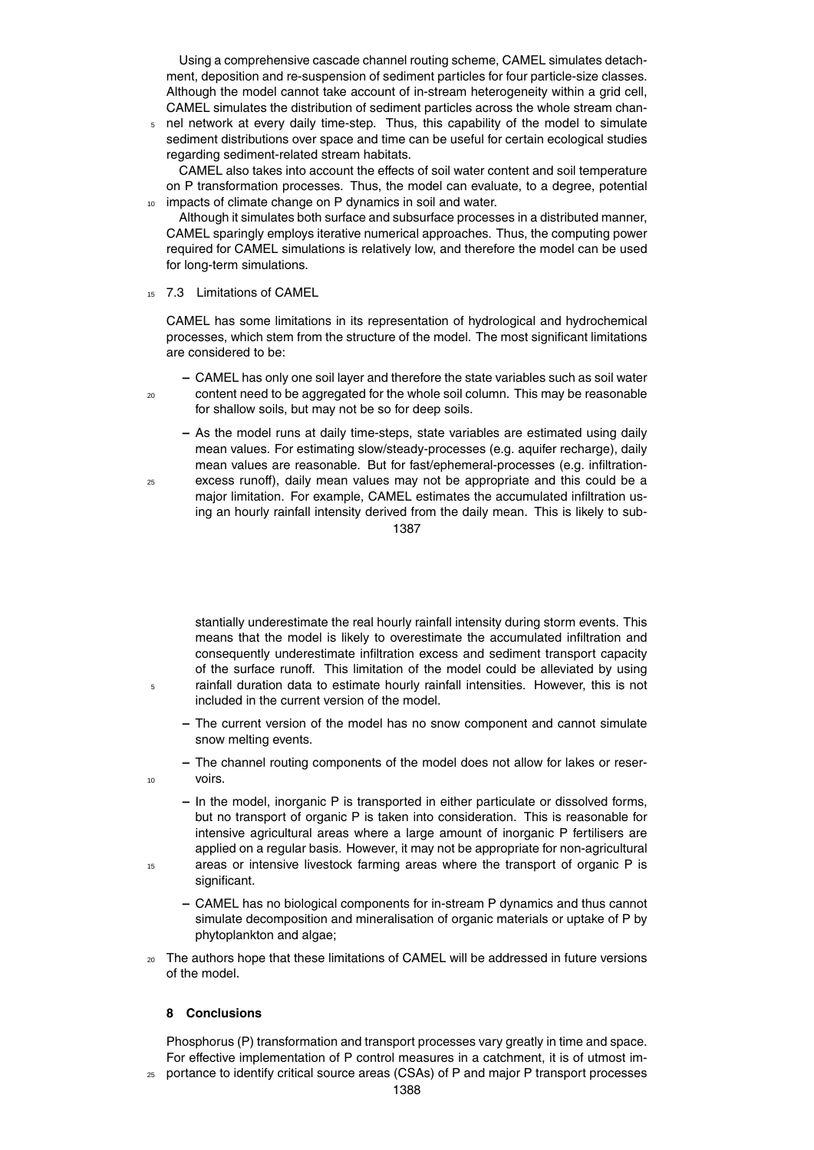Using a comprehensive cascade channel routing scheme, CAMEL simulates detachment, deposition and re-suspension of sediment particles for four particle-size classes. Although the model cannot take account of in-stream heterogeneity within a grid cell, CAMEL simulates the distribution of sediment particles across the whole stream chan-

<sup>5</sup> nel network at every daily time-step. Thus, this capability of the model to simulate sediment distributions over space and time can be useful for certain ecological studies regarding sediment-related stream habitats.

CAMEL also takes into account the effects of soil water content and soil temperature on P transformation processes. Thus, the model can evaluate, to a degree, potential impacts of climate change on P dynamics in soil and water.

Although it simulates both surface and subsurface processes in a distributed manner, CAMEL sparingly employs iterative numerical approaches. Thus, the computing power required for CAMEL simulations is relatively low, and therefore the model can be used for long-term simulations.

<sup>15</sup> 7.3 Limitations of CAMEL

CAMEL has some limitations in its representation of hydrological and hydrochemical processes, which stem from the structure of the model. The most significant limitations are considered to be:

**–** CAMEL has only one soil layer and therefore the state variables such as soil water <sup>20</sup> content need to be aggregated for the whole soil column. This may be reasonable for shallow soils, but may not be so for deep soils.

**–** As the model runs at daily time-steps, state variables are estimated using daily mean values. For estimating slow/steady-processes (e.g. aquifer recharge), daily mean values are reasonable. But for fast/ephemeral-processes (e.g. infiltration-<sup>25</sup> excess runoff), daily mean values may not be appropriate and this could be a

major limitation. For example, CAMEL estimates the accumulated infiltration using an hourly rainfall intensity derived from the daily mean. This is likely to sub-1387

stantially underestimate the real hourly rainfall intensity during storm events. This means that the model is likely to overestimate the accumulated infiltration and consequently underestimate infiltration excess and sediment transport capacity of the surface runoff. This limitation of the model could be alleviated by using <sup>5</sup> rainfall duration data to estimate hourly rainfall intensities. However, this is not included in the current version of the model.

- **–** The current version of the model has no snow component and cannot simulate snow melting events.
- **–** The channel routing components of the model does not allow for lakes or reser-<sup>10</sup> voirs.
- **–** In the model, inorganic P is transported in either particulate or dissolved forms, but no transport of organic P is taken into consideration. This is reasonable for intensive agricultural areas where a large amount of inorganic P fertilisers are applied on a regular basis. However, it may not be appropriate for non-agricultural 15 areas or intensive livestock farming areas where the transport of organic P is significant.
	- **–** CAMEL has no biological components for in-stream P dynamics and thus cannot simulate decomposition and mineralisation of organic materials or uptake of P by phytoplankton and algae;
- <sup>20</sup> The authors hope that these limitations of CAMEL will be addressed in future versions of the model.

# **8 Conclusions**

Phosphorus (P) transformation and transport processes vary greatly in time and space. For effective implementation of P control measures in a catchment, it is of utmost im-

<sup>25</sup> portance to identify critical source areas (CSAs) of P and major P transport processes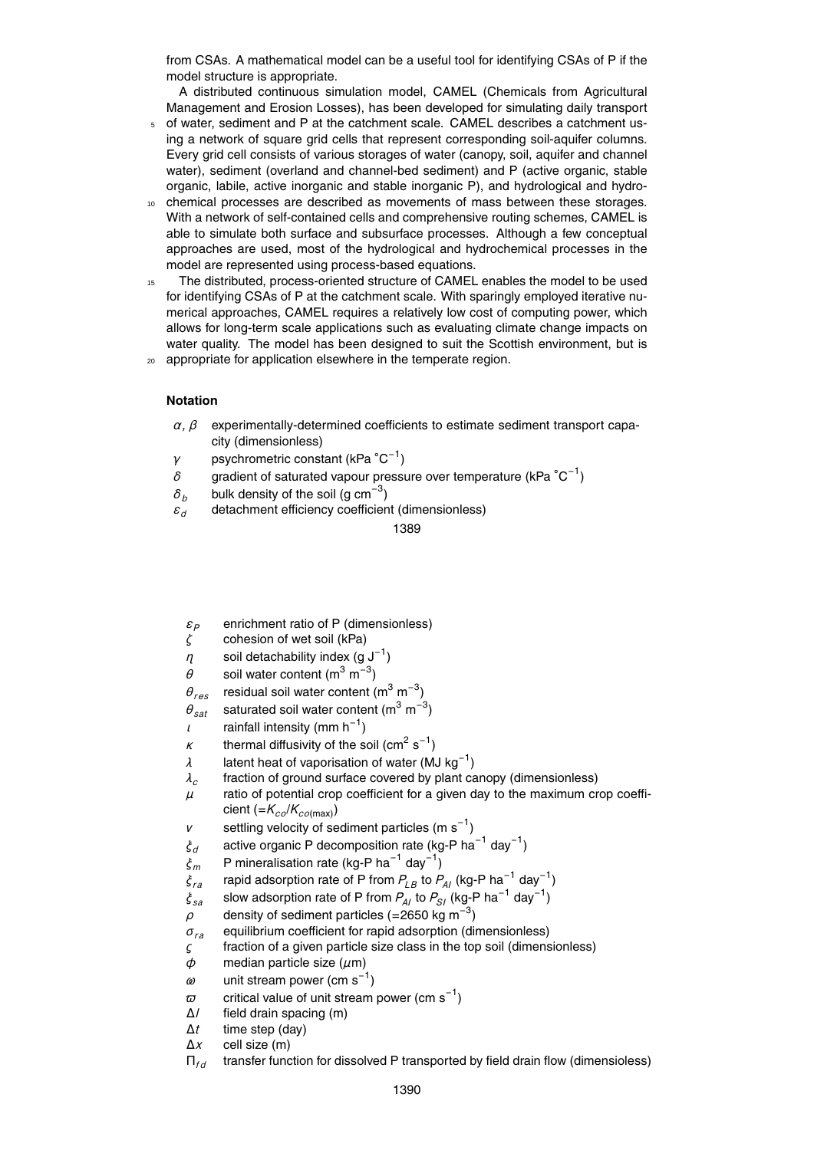from CSAs. A mathematical model can be a useful tool for identifying CSAs of P if the model structure is appropriate.

A distributed continuous simulation model, CAMEL (Chemicals from Agricultural Management and Erosion Losses), has been developed for simulating daily transport

- <sup>5</sup> of water, sediment and P at the catchment scale. CAMEL describes a catchment using a network of square grid cells that represent corresponding soil-aquifer columns. Every grid cell consists of various storages of water (canopy, soil, aquifer and channel water), sediment (overland and channel-bed sediment) and P (active organic, stable organic, labile, active inorganic and stable inorganic P), and hydrological and hydro-
- chemical processes are described as movements of mass between these storages. With a network of self-contained cells and comprehensive routing schemes, CAMEL is able to simulate both surface and subsurface processes. Although a few conceptual approaches are used, most of the hydrological and hydrochemical processes in the model are represented using process-based equations.
- <sup>15</sup> The distributed, process-oriented structure of CAMEL enables the model to be used for identifying CSAs of P at the catchment scale. With sparingly employed iterative numerical approaches, CAMEL requires a relatively low cost of computing power, which allows for long-term scale applications such as evaluating climate change impacts on water quality. The model has been designed to suit the Scottish environment, but is <sup>20</sup> appropriate for application elsewhere in the temperate region.

## **Notation**

- $\alpha$ ,  $\beta$  experimentally-determined coefficients to estimate sediment transport capacity (dimensionless)
- *γ* psychrometric constant (kPa °C<sup>-1</sup>)
- $δ$  gradient of saturated vapour pressure over temperature (kPa  $°C^{-1}$ )
- $\delta_b$  bulk density of the soil (g cm<sup>−3</sup>)
- *ε<sup>d</sup>* detachment efficiency coefficient (dimensionless)

- *ε*<sub>*P*</sub> enrichment ratio of P (dimensionless)<br> *ζ* cohesion of wet soil (kPa)
- *ζ* cohesion of wet soil (kPa)
- $\eta$  soil detachability index (g J<sup>-1</sup>)
- $\theta$  soil water content (m<sup>3</sup> m<sup>-3</sup>)
- $\theta_{res}$  residual soil water content (m<sup>3</sup> m<sup>-3</sup>)
- $\theta_{sat}$  saturated soil water content (m<sup>3</sup> m<sup>-3</sup>)
- $\iota$  rainfall intensity (mm h<sup>-1</sup>)
- $\kappa$  thermal diffusivity of the soil (cm<sup>2</sup> s<sup>-1</sup>)
- $\lambda$  latent heat of vaporisation of water (MJ kg<sup>-1</sup>)
- *λc* fraction of ground surface covered by plant canopy (dimensionless)
- *µ* ratio of potential crop coefficient for a given day to the maximum crop coefficient (=*Kco*/*Kco*(max))
- *v* settling velocity of sediment particles  $(m s^{-1})$
- ξ<sub>*d*</sub> active organic P decomposition rate (kg-P ha<sup>-1</sup> day<sup>-1</sup>)
- *<sup>ξ</sup><sup>m</sup>* P mineralisation rate (kg-P ha−<sup>1</sup> day−<sup>1</sup> )
- *<sup>ξ</sup>ra* rapid adsorption rate of P from *<sup>P</sup>LB* to *<sup>P</sup>AI* (kg-P ha−<sup>1</sup> day−<sup>1</sup> )
- *<sup>ξ</sup>sa* slow adsorption rate of P from *<sup>P</sup>AI* to *<sup>P</sup>SI* (kg-P ha−<sup>1</sup> day−<sup>1</sup> )
- $\rho$  density of sediment particles (=2650 kg m<sup>-3</sup>)
- *σra* equilibrium coefficient for rapid adsorption (dimensionless)
- *ς* fraction of a given particle size class in the top soil (dimensionless)
- *φ* median particle size (*µ*m)
- *ω* unit stream power (cm s−<sup>1</sup> )
- $\varpi$  critical value of unit stream power (cm s<sup>-1</sup>)
- ∆*l* field drain spacing (m)
- ∆*t* time step (day)
- ∆*x* cell size (m)
- Π*f d* transfer function for dissolved P transported by field drain flow (dimensioless)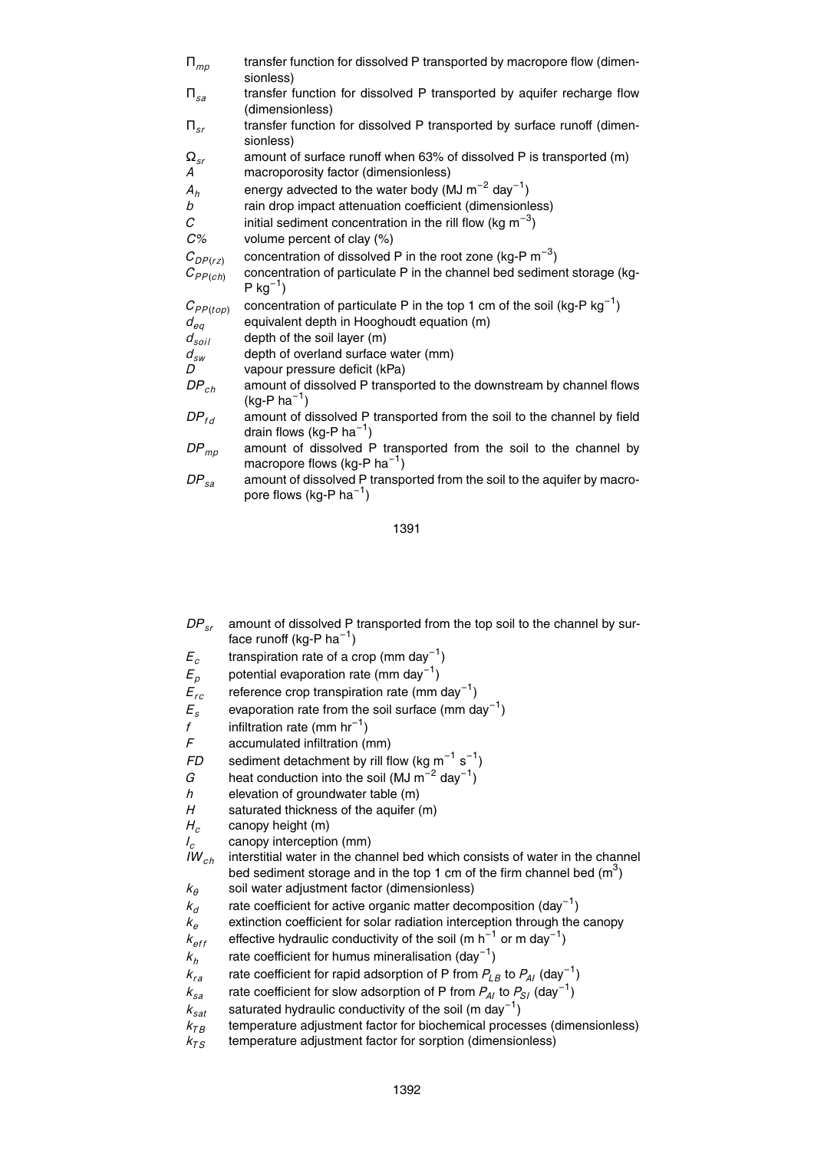| $\Pi_{mp}$                           | transfer function for dissolved P transported by macropore flow (dimen-<br>sionless)                                                                     |
|--------------------------------------|----------------------------------------------------------------------------------------------------------------------------------------------------------|
| $\Pi_{sa}$                           | transfer function for dissolved P transported by aquifer recharge flow<br>(dimensionless)                                                                |
| $\Pi_{sr}$                           | transfer function for dissolved P transported by surface runoff (dimen-<br>sionless)                                                                     |
| $\Omega_{sr}$<br>А                   | amount of surface runoff when 63% of dissolved P is transported (m)<br>macroporosity factor (dimensionless)                                              |
| $A_h$<br>b                           | energy advected to the water body (MJ $m^{-2}$ day <sup>-1</sup> )<br>rain drop impact attenuation coefficient (dimensionless)                           |
| C<br>$C\%$                           | initial sediment concentration in the rill flow (kg $m^{-3}$ )<br>volume percent of clay (%)                                                             |
| $C_{DP(rz)}$<br>$C_{PP(ch)}$         | concentration of dissolved P in the root zone (kg-P $m^{-3}$ )<br>concentration of particulate P in the channel bed sediment storage (kg-<br>$P kg^{-1}$ |
| $C_{PP(top)}$<br>$d_{eq}$            | concentration of particulate P in the top 1 cm of the soil (kg-P $kg^{-1}$ )<br>equivalent depth in Hooghoudt equation (m)                               |
| $d_{soil}$<br>$d_{\mathit{sw}}$<br>D | depth of the soil layer (m)<br>depth of overland surface water (mm)<br>vapour pressure deficit (kPa)                                                     |
| $DP_{ch}$                            | amount of dissolved P transported to the downstream by channel flows<br>$(kg-P ha^{-1})$                                                                 |
| $DP_{fd}$                            | amount of dissolved P transported from the soil to the channel by field<br>drain flows (kg-P ha <sup>-1</sup> )                                          |
| $DP_{mp}$                            | amount of dissolved P transported from the soil to the channel by<br>macropore flows (kg-P $ha^{-1}$ )                                                   |
| $DP_{sa}$                            | amount of dissolved P transported from the soil to the aquifer by macro-<br>pore flows (kg-P $ha^{-1}$ )                                                 |

- *DPsr* amount of dissolved P transported from the top soil to the channel by surface runoff (kg-P ha $^{-1}$ )
- *Ec* transpiration rate of a crop (mm day $^{-1}$ )
- $E_p$  potential evaporation rate (mm day<sup>-1</sup>)
- $E_{rc}$  reference crop transpiration rate (mm day<sup>-1</sup>)
- $E_s$  evaporation rate from the soil surface (mm day<sup>-1</sup>)
- *f* infiltration rate (mm hr<sup>−1</sup>)
- *F* accumulated infiltration (mm)
- $FD$  sediment detachment by rill flow (kg m<sup>-1</sup> s<sup>-1</sup>)
- $G$  heat conduction into the soil (MJ m<sup>-2</sup> day<sup>-1</sup>)
- *h* elevation of groundwater table (m)
- *H* saturated thickness of the aquifer (m)<br> $H_c$  canopy height (m)
- 
- canopy interception (mm)

 $H_c$  canopy height (m)<br>  $I_c$  canopy interceptio<br>  $I W_{ch}$  interstitial water in interstitial water in the channel bed which consists of water in the channel bed sediment storage and in the top 1 cm of the firm channel bed  $(m^3)$ 

- $k_{\theta}$  soil water adjustment factor (dimensionless)
- $\frac{k_d}{k_e}$ rate coefficient for active organic matter decomposition  $\left(\text{day}^{-1}\right)$
- extinction coefficient for solar radiation interception through the canopy
- $k_{\text{eff}}$  effective hydraulic conductivity of the soil (m h<sup>-1</sup> or m day<sup>-1</sup>)
- *kh* rate coefficient for humus mineralisation  $\left(\text{day}^{-1}\right)$

 $k_{ra}$  rate coefficient for rapid adsorption of P from  $P_{LB}$  to  $P_{AI}$  (day<sup>-1</sup>)

- $k_{sa}$  rate coefficient for slow adsorption of P from  $P_{Al}$  to  $P_{SI}$  (day<sup>-1</sup>)
- *<sup>k</sup>sat* saturated hydraulic conductivity of the soil (m day−<sup>1</sup> )
- $k_{TB}$  temperature adjustment factor for biochemical processes (dimensionless)
- $k_{TS}$  temperature adjustment factor for sorption (dimensionless)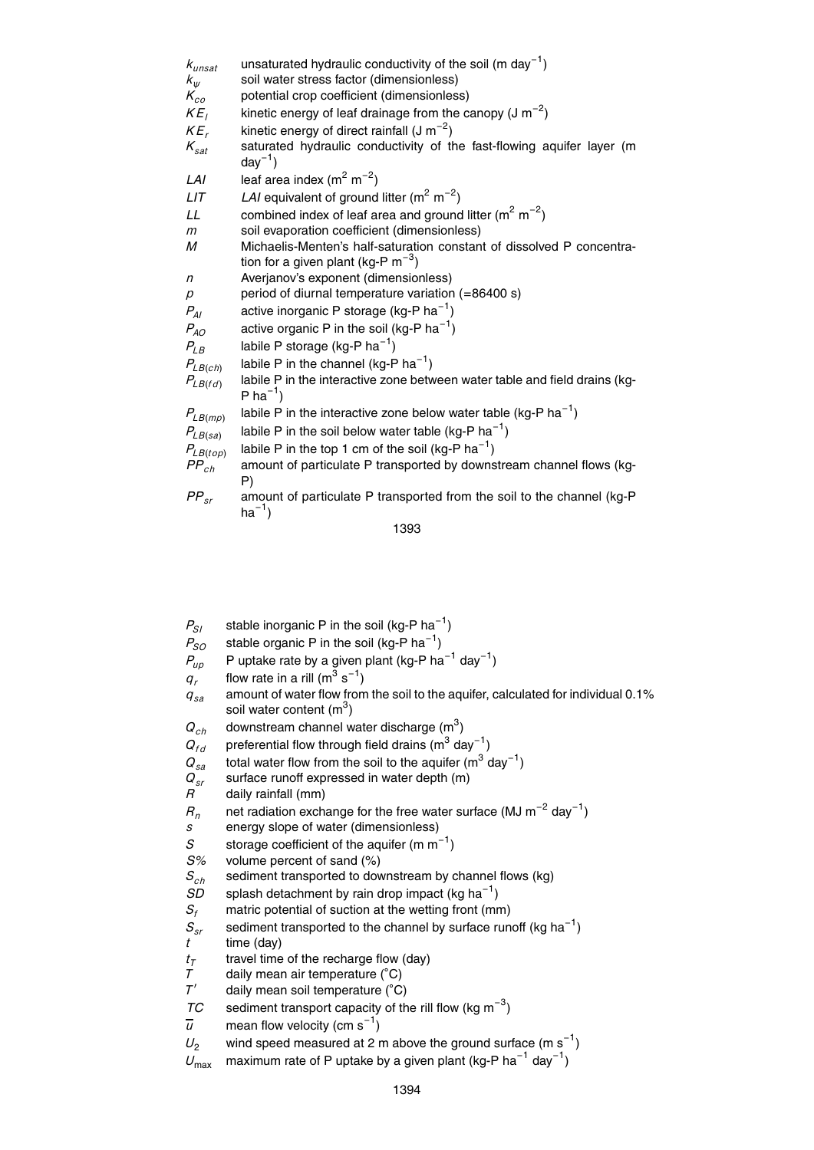| $k_{\text{unsat}}$ | unsaturated hydraulic conductivity of the soil (m day <sup>-1</sup> )                 |
|--------------------|---------------------------------------------------------------------------------------|
| $k_{\psi}$         | soil water stress factor (dimensionless)                                              |
| $K_{co}$           | potential crop coefficient (dimensionless)                                            |
| KE <sub>1</sub>    | kinetic energy of leaf drainage from the canopy (J $m^{-2}$ )                         |
| $KE_r$             | kinetic energy of direct rainfall $(J m^{-2})$                                        |
| $K_{sat}$          | saturated hydraulic conductivity of the fast-flowing aquifer layer (m<br>$day^{-1}$ ) |
| LAI                | leaf area index $(m^2 m^{-2})$                                                        |
| LIT                | LAI equivalent of ground litter ( $m^2$ m <sup>-2</sup> )                             |
| LL                 | combined index of leaf area and ground litter ( $m^2 m^{-2}$ )                        |
| m                  | soil evaporation coefficient (dimensionless)                                          |
| М                  | Michaelis-Menten's half-saturation constant of dissolved P concentra-                 |
|                    | tion for a given plant (kg-P $m^{-3}$ )                                               |
| $\eta$             | Averjanov's exponent (dimensionless)                                                  |
| р                  | period of diurnal temperature variation (=86400 s)                                    |
| $P_{AI}$           | active inorganic P storage ( $kg-P$ ha <sup>-1</sup> )                                |
| $P_{AO}$           | active organic P in the soil (kg-P ha <sup>-1</sup> )                                 |
| $P_{LB}$           | labile P storage (kg-P $ha^{-1}$ )                                                    |
| $P_{LB(ch)}$       | labile P in the channel (kg-P ha <sup>-1</sup> )                                      |
| $P_{LB(fd)}$       | labile P in the interactive zone between water table and field drains (kg-            |
|                    | P ha <sup>-1</sup> )                                                                  |
| $P_{LB(mp)}$       | labile P in the interactive zone below water table (kg-P $ha^{-1}$ )                  |
| $P_{LB(sa)}$       | labile P in the soil below water table (kg-P $ha^{-1}$ )                              |
| $P_{LB(top)}$      | labile P in the top 1 cm of the soil (kg-P $ha^{-1}$ )                                |
| $PP_{ch}$          | amount of particulate P transported by downstream channel flows (kg-                  |
|                    | P)                                                                                    |
| $PP_{sr}$          | amount of particulate P transported from the soil to the channel (kg-P<br>$ha^{-1}$ ) |

- $P_{SI}$  stable inorganic P in the soil (kg-P ha<sup>-1</sup>)
- $P_{SO}$  stable organic P in the soil (kg-P ha<sup>-1</sup>)
- $P_{up}$  P uptake rate by a given plant (kg-P ha<sup>-1</sup> day<sup>-1</sup>)
- $q_r$  flow rate in a rill (m<sup>3</sup> s<sup>-1</sup>)
- *qsa* amount of water flow from the soil to the aquifer, calculated for individual 0.1% soil water content  $(m^3)$
- $Q_{ch}$  downstream channel water discharge (m<sup>3</sup>)
- $Q_{fd}$  preferential flow through field drains (m<sup>3</sup> day<sup>-1</sup>)
- $Q_{sa}$  total water flow from the soil to the aquifer (m<sup>3</sup> day<sup>-1</sup>)
- $Q_{sr}$  surface runoff expressed in water depth (m)  $R$  daily rainfall (mm)
- daily rainfall (mm)

 $R_n$  net radiation exchange for the free water surface (MJ m<sup>-2</sup> day<sup>-1</sup>)

- *s* energy slope of water (dimensionless)
- S storage coefficient of the aquifer (m  $m^{-1}$ )
- *S%* volume percent of sand (%)
- $S_{ch}$  sediment transported to downstream by channel flows (kg)<br>*SD* splash detachment by rain drop impact (kg ha<sup>-1</sup>)
- $SD$  splash detachment by rain drop impact (kg ha<sup>-1</sup>)
- *S<sup>f</sup>* matric potential of suction at the wetting front (mm)
- $S_{sr}$  sediment transported to the channel by surface runoff (kg ha<sup>-1</sup>) *t* time (day)
- *tT* travel time of the recharge flow (day)
- daily mean air temperature (°C)
- *T* 0 daily mean soil temperature (◦C)
- *TC* sediment transport capacity of the rill flow (kg m<sup>-3</sup>)
- $\overline{u}$  mean flow velocity (cm s<sup>-1</sup>)
- $U_2$  wind speed measured at 2 m above the ground surface (m s<sup>-1</sup>)
- $U_{\sf max}$  maximum rate of P uptake by a given plant (kg-P ha<sup>-1</sup> day<sup>-1</sup>)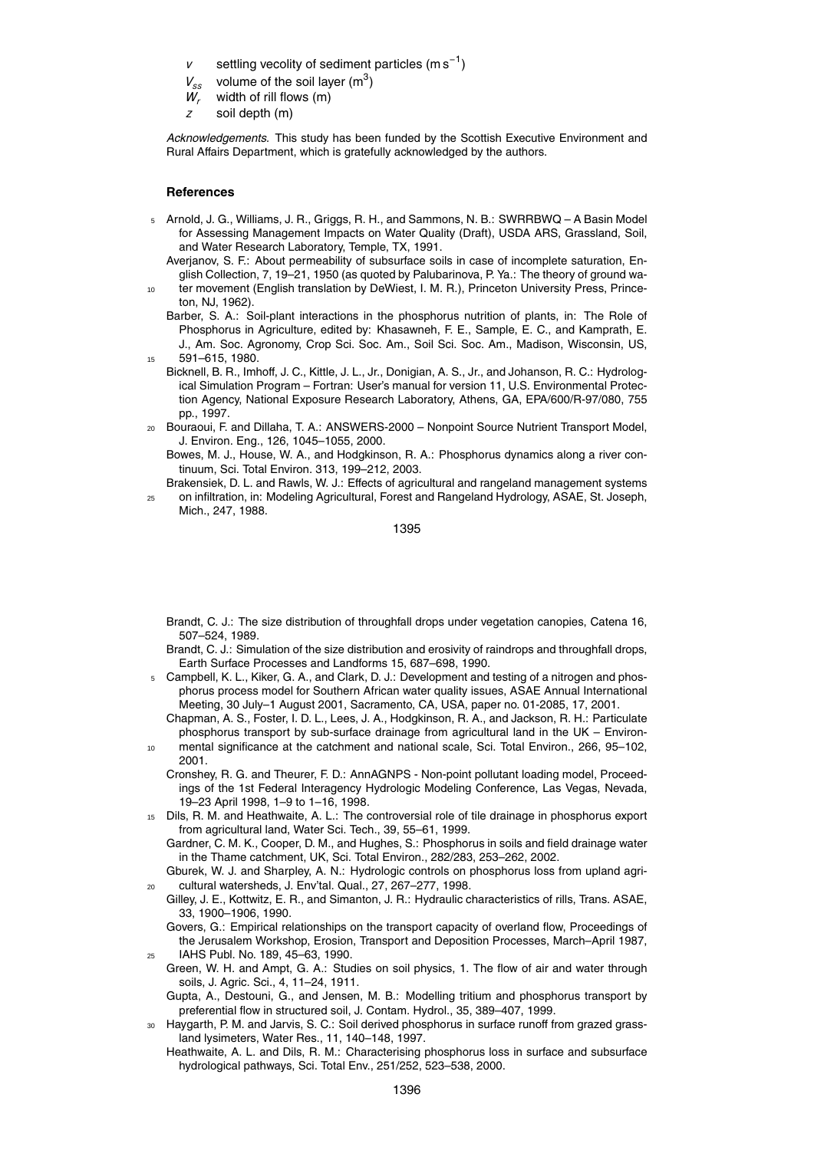- *v* settling vecolity of sediment particles (m s<sup>-1</sup>)
- $V_{ss}$  volume of the soil layer (m<sup>3</sup>)
- *W<sup>r</sup>* width of rill flows (m)
- *z* soil depth (m)

*Acknowledgements.* This study has been funded by the Scottish Executive Environment and Rural Affairs Department, which is gratefully acknowledged by the authors.

#### **References**

- <sup>5</sup> Arnold, J. G., Williams, J. R., Griggs, R. H., and Sammons, N. B.: SWRRBWQ A Basin Model for Assessing Management Impacts on Water Quality (Draft), USDA ARS, Grassland, Soil, and Water Research Laboratory, Temple, TX, 1991.
	- Averjanov, S. F.: About permeability of subsurface soils in case of incomplete saturation, English Collection, 7, 19–21, 1950 (as quoted by Palubarinova, P. Ya.: The theory of ground water movement (English translation by DeWiest, I. M. R.), Princeton University Press, Prince-
	- ton, NJ, 1962).
	- Barber, S. A.: Soil-plant interactions in the phosphorus nutrition of plants, in: The Role of Phosphorus in Agriculture, edited by: Khasawneh, F. E., Sample, E. C., and Kamprath, E. J., Am. Soc. Agronomy, Crop Sci. Soc. Am., Soil Sci. Soc. Am., Madison, Wisconsin, US, <sup>15</sup> 591–615, 1980.
- Bicknell, B. R., Imhoff, J. C., Kittle, J. L., Jr., Donigian, A. S., Jr., and Johanson, R. C.: Hydrological Simulation Program – Fortran: User's manual for version 11, U.S. Environmental Protection Agency, National Exposure Research Laboratory, Athens, GA, EPA/600/R-97/080, 755 pp., 1997.
- <sup>20</sup> Bouraoui, F. and Dillaha, T. A.: ANSWERS-2000 Nonpoint Source Nutrient Transport Model, J. Environ. Eng., 126, 1045–1055, 2000.
	- Bowes, M. J., House, W. A., and Hodgkinson, R. A.: Phosphorus dynamics along a river continuum, Sci. Total Environ. 313, 199–212, 2003.
- Brakensiek, D. L. and Rawls, W. J.: Effects of agricultural and rangeland management systems <sup>25</sup> on infiltration, in: Modeling Agricultural, Forest and Rangeland Hydrology, ASAE, St. Joseph, Mich., 247, 1988.

1395

- Brandt, C. J.: The size distribution of throughfall drops under vegetation canopies, Catena 16, 507–524, 1989.
- Brandt, C. J.: Simulation of the size distribution and erosivity of raindrops and throughfall drops, Earth Surface Processes and Landforms 15, 687–698, 1990.
- <sup>5</sup> Campbell, K. L., Kiker, G. A., and Clark, D. J.: Development and testing of a nitrogen and phosphorus process model for Southern African water quality issues, ASAE Annual International Meeting, 30 July–1 August 2001, Sacramento, CA, USA, paper no. 01-2085, 17, 2001.
- Chapman, A. S., Foster, I. D. L., Lees, J. A., Hodgkinson, R. A., and Jackson, R. H.: Particulate phosphorus transport by sub-surface drainage from agricultural land in the UK – Environ-
- mental significance at the catchment and national scale, Sci. Total Environ., 266, 95-102, 2001.
	- Cronshey, R. G. and Theurer, F. D.: AnnAGNPS Non-point pollutant loading model, Proceedings of the 1st Federal Interagency Hydrologic Modeling Conference, Las Vegas, Nevada, 19–23 April 1998, 1–9 to 1–16, 1998.
- <sup>15</sup> Dils, R. M. and Heathwaite, A. L.: The controversial role of tile drainage in phosphorus export from agricultural land, Water Sci. Tech., 39, 55–61, 1999.

Gardner, C. M. K., Cooper, D. M., and Hughes, S.: Phosphorus in soils and field drainage water in the Thame catchment, UK, Sci. Total Environ., 282/283, 253–262, 2002.

Gburek, W. J. and Sharpley, A. N.: Hydrologic controls on phosphorus loss from upland agri-<sup>20</sup> cultural watersheds, J. Env'tal. Qual., 27, 267–277, 1998.

Gilley, J. E., Kottwitz, E. R., and Simanton, J. R.: Hydraulic characteristics of rills, Trans. ASAE, 33, 1900–1906, 1990.

Govers, G.: Empirical relationships on the transport capacity of overland flow, Proceedings of the Jerusalem Workshop, Erosion, Transport and Deposition Processes, March–April 1987, <sup>25</sup> IAHS Publ. No. 189, 45–63, 1990.

- Green, W. H. and Ampt, G. A.: Studies on soil physics, 1. The flow of air and water through soils, J. Agric. Sci., 4, 11–24, 1911.
- Gupta, A., Destouni, G., and Jensen, M. B.: Modelling tritium and phosphorus transport by preferential flow in structured soil, J. Contam. Hydrol., 35, 389–407, 1999.
- Haygarth, P. M. and Jarvis, S. C.: Soil derived phosphorus in surface runoff from grazed grassland lysimeters, Water Res., 11, 140–148, 1997.
	- Heathwaite, A. L. and Dils, R. M.: Characterising phosphorus loss in surface and subsurface hydrological pathways, Sci. Total Env., 251/252, 523–538, 2000.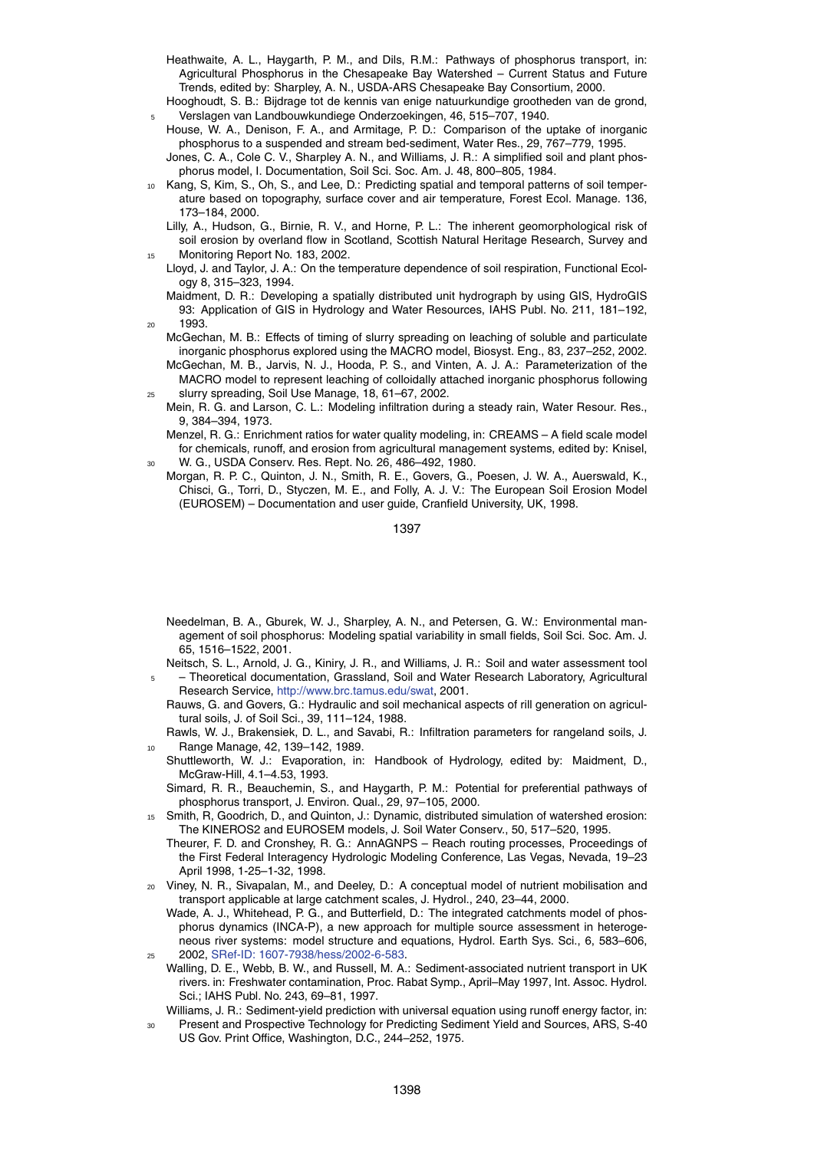- Heathwaite, A. L., Haygarth, P. M., and Dils, R.M.: Pathways of phosphorus transport, in: Agricultural Phosphorus in the Chesapeake Bay Watershed – Current Status and Future Trends, edited by: Sharpley, A. N., USDA-ARS Chesapeake Bay Consortium, 2000.
- Hooghoudt, S. B.: Bijdrage tot de kennis van enige natuurkundige grootheden van de grond, <sup>5</sup> Verslagen van Landbouwkundiege Onderzoekingen, 46, 515–707, 1940.
- House, W. A., Denison, F. A., and Armitage, P. D.: Comparison of the uptake of inorganic phosphorus to a suspended and stream bed-sediment, Water Res., 29, 767–779, 1995.
- Jones, C. A., Cole C. V., Sharpley A. N., and Williams, J. R.: A simplified soil and plant phosphorus model, I. Documentation, Soil Sci. Soc. Am. J. 48, 800–805, 1984.
- <sup>10</sup> Kang, S, Kim, S., Oh, S., and Lee, D.: Predicting spatial and temporal patterns of soil temperature based on topography, surface cover and air temperature, Forest Ecol. Manage. 136, 173–184, 2000.
	- Lilly, A., Hudson, G., Birnie, R. V., and Horne, P. L.: The inherent geomorphological risk of soil erosion by overland flow in Scotland, Scottish Natural Heritage Research, Survey and Monitoring Report No. 183, 2002.
	- Lloyd, J. and Taylor, J. A.: On the temperature dependence of soil respiration, Functional Ecology 8, 315–323, 1994.
- Maidment, D. R.: Developing a spatially distributed unit hydrograph by using GIS, HydroGIS 93: Application of GIS in Hydrology and Water Resources, IAHS Publ. No. 211, 181–192, <sup>20</sup> 1993.
	- McGechan, M. B.: Effects of timing of slurry spreading on leaching of soluble and particulate inorganic phosphorus explored using the MACRO model, Biosyst. Eng., 83, 237–252, 2002. McGechan, M. B., Jarvis, N. J., Hooda, P. S., and Vinten, A. J. A.: Parameterization of the MACRO model to represent leaching of colloidally attached inorganic phosphorus following
- <sup>25</sup> slurry spreading, Soil Use Manage, 18, 61–67, 2002. Mein, R. G. and Larson, C. L.: Modeling infiltration during a steady rain, Water Resour. Res., 9, 384–394, 1973.
	- Menzel, R. G.: Enrichment ratios for water quality modeling, in: CREAMS A field scale model for chemicals, runoff, and erosion from agricultural management systems, edited by: Knisel, <sup>30</sup> W. G., USDA Conserv. Res. Rept. No. 26, 486–492, 1980.
- Morgan, R. P. C., Quinton, J. N., Smith, R. E., Govers, G., Poesen, J. W. A., Auerswald, K., Chisci, G., Torri, D., Styczen, M. E., and Folly, A. J. V.: The European Soil Erosion Model (EUROSEM) – Documentation and user guide, Cranfield University, UK, 1998.

- Needelman, B. A., Gburek, W. J., Sharpley, A. N., and Petersen, G. W.: Environmental management of soil phosphorus: Modeling spatial variability in small fields, Soil Sci. Soc. Am. J. 65, 1516–1522, 2001.
- Neitsch, S. L., Arnold, J. G., Kiniry, J. R., and Williams, J. R.: Soil and water assessment tool <sup>5</sup> – Theoretical documentation, Grassland, Soil and Water Research Laboratory, Agricultural Research Service, http://www.brc.tamus.edu/swat, 2001.
	- Rauws, G. and Govers, G.: Hydraulic and soil mechanical aspects of rill generation on agricultural soils, J. of Soil Sci., 39, 111–124, 1988.
	- Rawls, W. J., Brakensiek, D. L., and Savabi, R.: Infiltration parameters for rangeland soils, J. Range Manage, 42, 139-142, 1989.
- Shuttleworth, W. J.: Evaporation, in: Handbook of Hydrology, edited by: Maidment, D., McGraw-Hill, 4.1–4.53, 1993.
- Simard, R. R., Beauchemin, S., and Haygarth, P. M.: Potential for preferential pathways of phosphorus transport, J. Environ. Qual., 29, 97–105, 2000.
- <sup>15</sup> Smith, R, Goodrich, D., and Quinton, J.: Dynamic, distributed simulation of watershed erosion: The KINEROS2 and EUROSEM models, J. Soil Water Conserv., 50, 517–520, 1995.
	- Theurer, F. D. and Cronshey, R. G.: AnnAGNPS Reach routing processes, Proceedings of the First Federal Interagency Hydrologic Modeling Conference, Las Vegas, Nevada, 19–23 April 1998, 1-25–1-32, 1998.
- <sup>20</sup> Viney, N. R., Sivapalan, M., and Deeley, D.: A conceptual model of nutrient mobilisation and transport applicable at large catchment scales, J. Hydrol., 240, 23–44, 2000.
- Wade, A. J., Whitehead, P. G., and Butterfield, D.: The integrated catchments model of phosphorus dynamics (INCA-P), a new approach for multiple source assessment in heterogeneous river systems: model structure and equations, Hydrol. Earth Sys. Sci., 6, 583–606, <sup>25</sup> 2002, SRef-ID: 1607-7938/hess/2002-6-583.
- Walling, D. E., Webb, B. W., and Russell, M. A.: Sediment-associated nutrient transport in UK rivers. in: Freshwater contamination, Proc. Rabat Symp., April–May 1997, Int. Assoc. Hydrol. Sci.; IAHS Publ. No. 243, 69–81, 1997.
- Williams, J. R.: Sediment-yield prediction with universal equation using runoff energy factor, in: <sup>30</sup> Present and Prospective Technology for Predicting Sediment Yield and Sources, ARS, S-40 US Gov. Print Office, Washington, D.C., 244–252, 1975.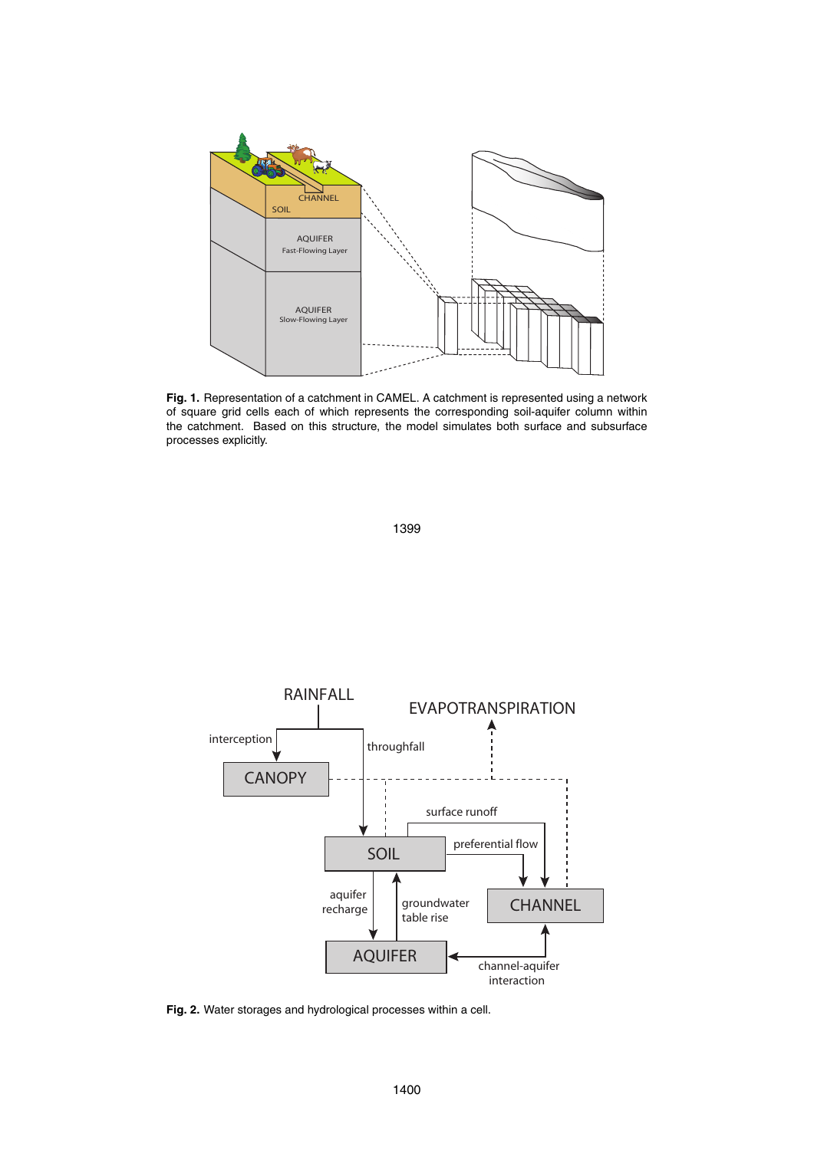

**Fig. 1.** Representation of a catchment in CAMEL. A catchment is represented using a network of square grid cells each of which represents the corresponding soil-aquifer column within the catchment. Based on this structure, the model simulates both surface and subsurface processes explicitly.



**Fig. 2.** Water storages and hydrological processes within a cell.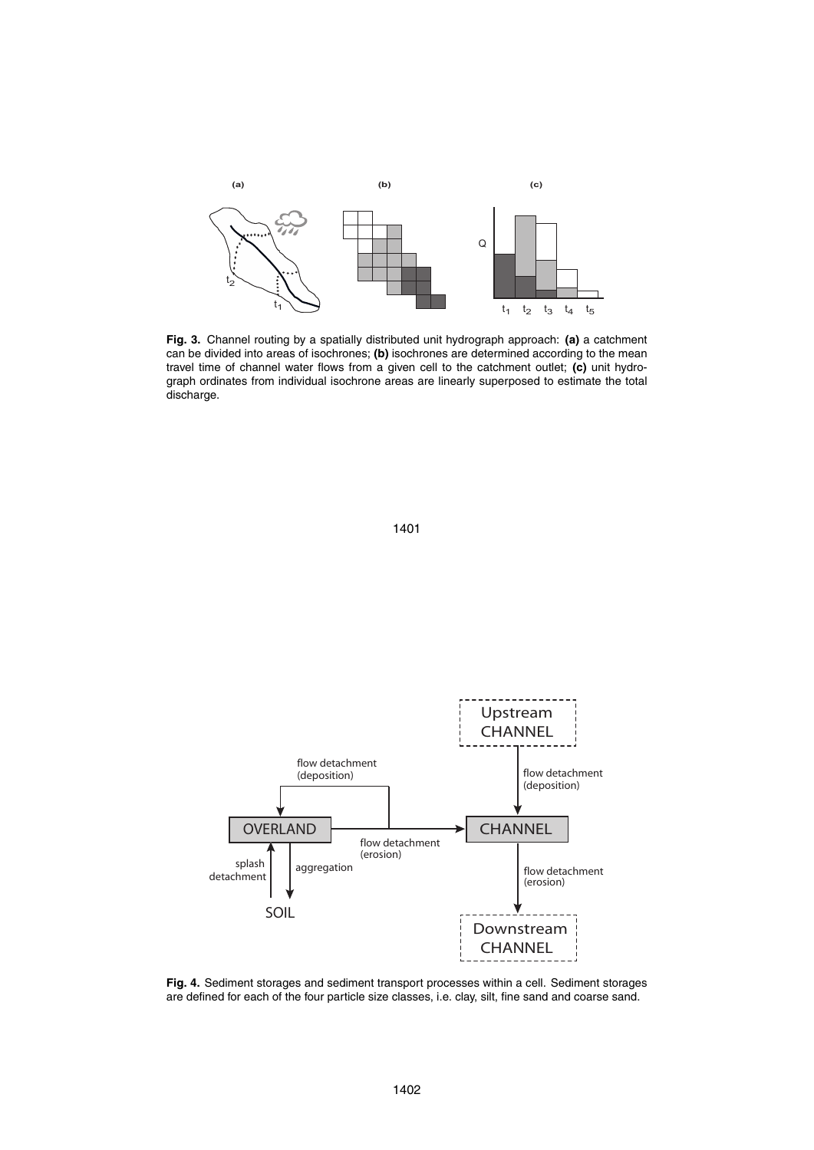

**Fig. 3.** Channel routing by a spatially distributed unit hydrograph approach: **(a)** a catchment can be divided into areas of isochrones; **(b)** isochrones are determined according to the mean travel time of channel water flows from a given cell to the catchment outlet; **(c)** unit hydrograph ordinates from individual isochrone areas are linearly superposed to estimate the total discharge.



**Fig. 4.** Sediment storages and sediment transport processes within a cell. Sediment storages are defined for each of the four particle size classes, i.e. clay, silt, fine sand and coarse sand.